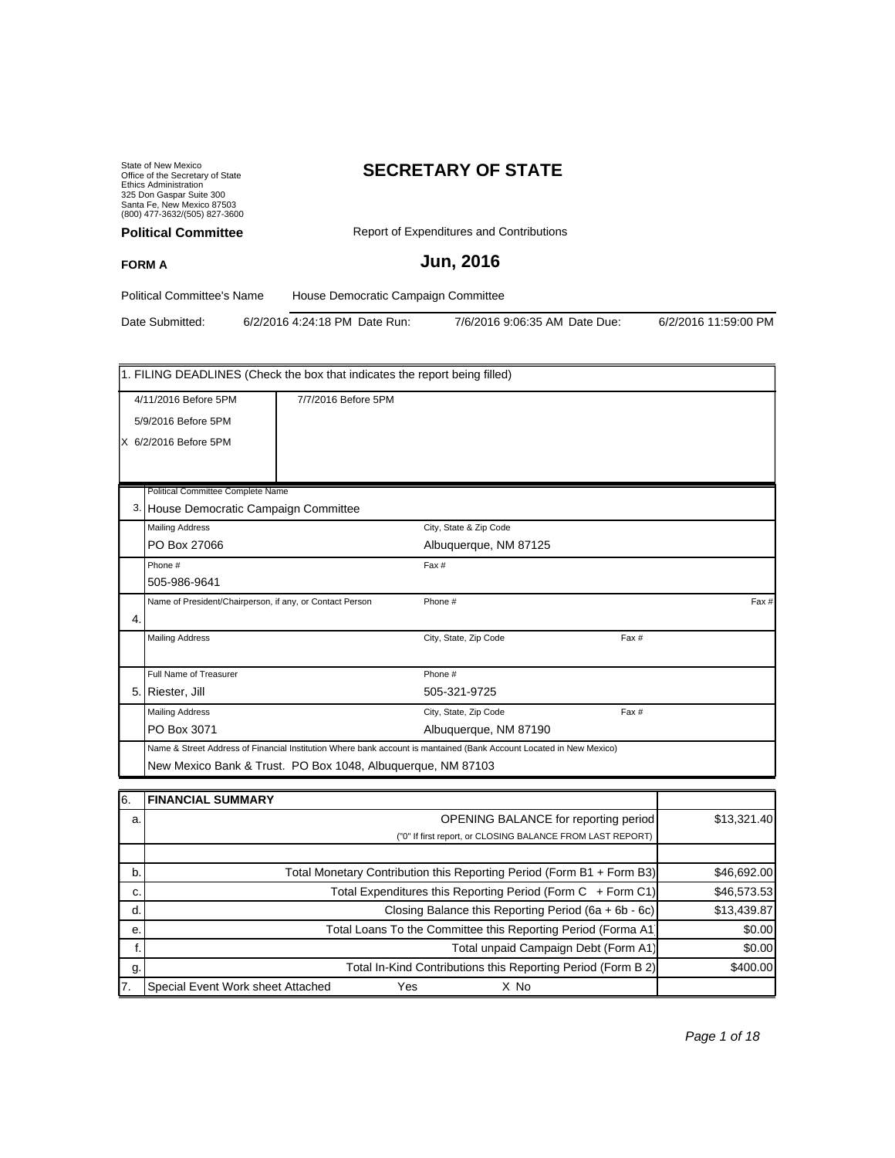State of New Mexico Office of the Secretary of State Ethics Administration 325 Don Gaspar Suite 300 Santa Fe, New Mexico 87503 (800) 477-3632/(505) 827-3600

# **SECRETARY OF STATE**

| <b>Political Committee</b> | Report of Expenditures and Contributions |
|----------------------------|------------------------------------------|
| <b>FORM A</b>              | <b>Jun, 2016</b>                         |
|                            |                                          |

Political Committee's Name House Democratic Campaign Committee

Date Submitted: 6/2/2016 4:24:18 PM Date Run: 7/6/2016 9:06:35 AM Date Due: 6/2/2016 11:59:00 PM

|    | 1. FILING DEADLINES (Check the box that indicates the report being filled)                                          |                     |                        |       |       |
|----|---------------------------------------------------------------------------------------------------------------------|---------------------|------------------------|-------|-------|
|    | 4/11/2016 Before 5PM                                                                                                | 7/7/2016 Before 5PM |                        |       |       |
|    | 5/9/2016 Before 5PM                                                                                                 |                     |                        |       |       |
|    | X 6/2/2016 Before 5PM                                                                                               |                     |                        |       |       |
|    |                                                                                                                     |                     |                        |       |       |
|    |                                                                                                                     |                     |                        |       |       |
|    | Political Committee Complete Name                                                                                   |                     |                        |       |       |
|    | 3. House Democratic Campaign Committee                                                                              |                     |                        |       |       |
|    | <b>Mailing Address</b>                                                                                              |                     | City, State & Zip Code |       |       |
|    | PO Box 27066                                                                                                        |                     | Albuquerque, NM 87125  |       |       |
|    | Phone #                                                                                                             |                     | Fax #                  |       |       |
|    | 505-986-9641                                                                                                        |                     |                        |       |       |
|    | Name of President/Chairperson, if any, or Contact Person                                                            |                     | Phone #                |       | Fax # |
| 4. |                                                                                                                     |                     |                        |       |       |
|    | <b>Mailing Address</b>                                                                                              |                     | City, State, Zip Code  | Fax # |       |
|    | Full Name of Treasurer                                                                                              |                     | Phone #                |       |       |
|    | 5. Riester, Jill                                                                                                    |                     | 505-321-9725           |       |       |
|    |                                                                                                                     |                     |                        |       |       |
|    | <b>Mailing Address</b>                                                                                              |                     | City, State, Zip Code  | Fax # |       |
|    | PO Box 3071                                                                                                         |                     | Albuquerque, NM 87190  |       |       |
|    | Name & Street Address of Financial Institution Where bank account is mantained (Bank Account Located in New Mexico) |                     |                        |       |       |
|    | New Mexico Bank & Trust. PO Box 1048, Albuquerque, NM 87103                                                         |                     |                        |       |       |
|    | PRIAMPLAI OLIMPLANY                                                                                                 |                     |                        |       |       |

| 16. | I FINANCIAL SUMMARY                                                   |             |
|-----|-----------------------------------------------------------------------|-------------|
| a.  | <b>OPENING BALANCE for reporting period</b>                           | \$13,321.40 |
|     | ("0" If first report, or CLOSING BALANCE FROM LAST REPORT)            |             |
|     |                                                                       |             |
| b.  | Total Monetary Contribution this Reporting Period (Form B1 + Form B3) | \$46,692.00 |
| c.  | Total Expenditures this Reporting Period (Form C + Form C1)           | \$46,573.53 |
| d.  | Closing Balance this Reporting Period (6a + 6b - 6c)                  | \$13,439.87 |
| е.  | Total Loans To the Committee this Reporting Period (Forma A1          | \$0.00      |
|     | Total unpaid Campaign Debt (Form A1)                                  | \$0.00      |
| g.  | Total In-Kind Contributions this Reporting Period (Form B 2)          | \$400.00    |
| 17. | Special Event Work sheet Attached<br>Yes<br>X No                      |             |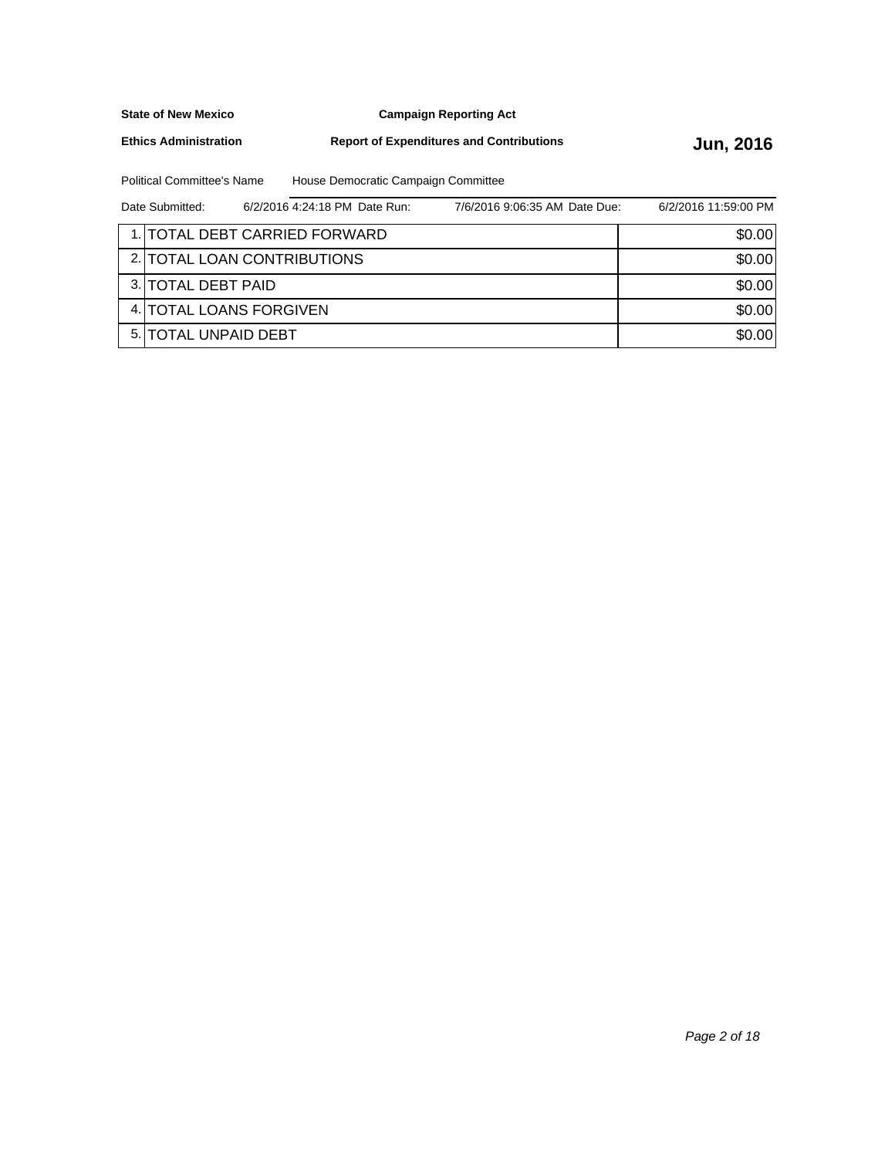**Campaign Reporting Act**

**Ethics Administration**

**Report of Expenditures and Contributions Jun, 2016** 

Political Committee's Name House Democratic Campaign Committee

| Date Submitted:       | 6/2/2016 4:24:18 PM Date Run: | 7/6/2016 9:06:35 AM Date Due: | 6/2/2016 11:59:00 PM |
|-----------------------|-------------------------------|-------------------------------|----------------------|
|                       | 1. TOTAL DEBT CARRIED FORWARD |                               | \$0.00               |
|                       | 2. TOTAL LOAN CONTRIBUTIONS   |                               | \$0.00               |
| 3. ITOTAL DEBT PAID   |                               |                               | \$0.00               |
|                       | 4. TOTAL LOANS FORGIVEN       |                               | \$0.00               |
| 5. ITOTAL UNPAID DEBT |                               |                               | \$0.00               |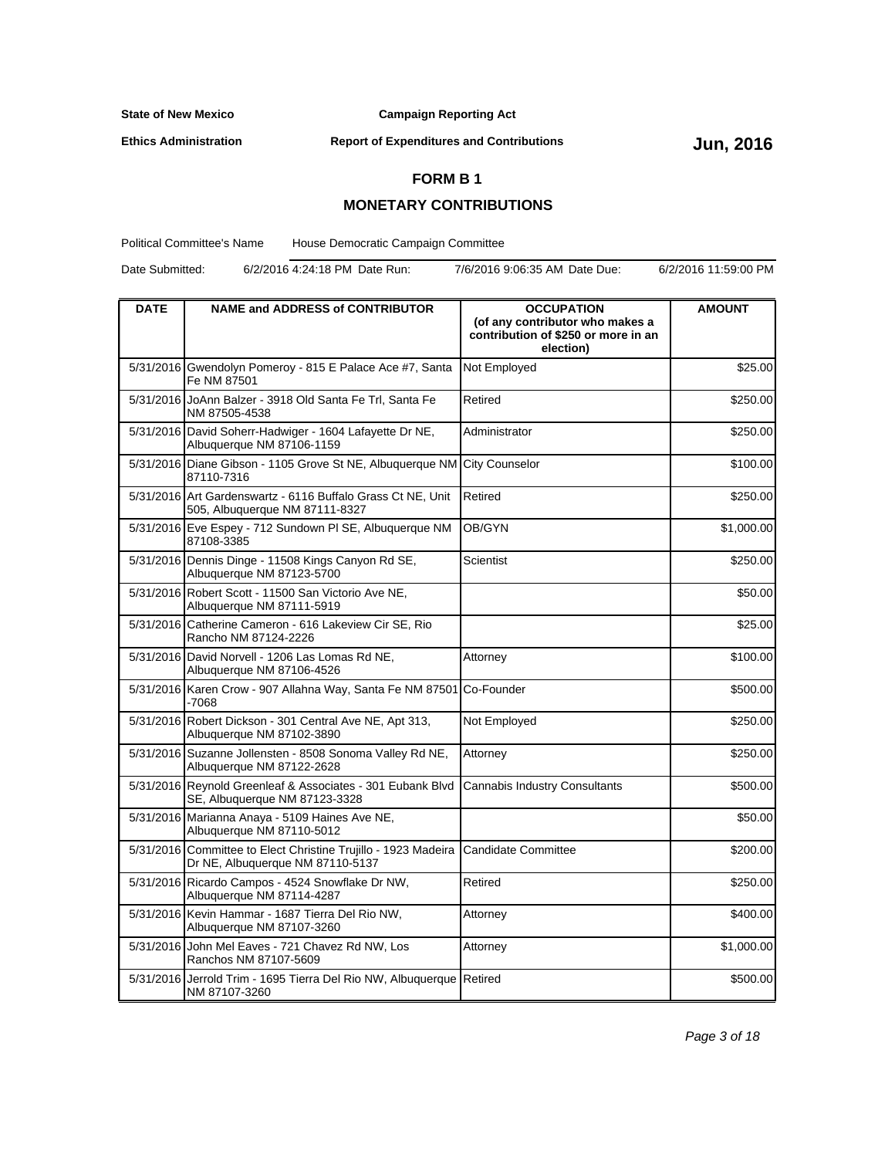**Campaign Reporting Act**

**Ethics Administration**

**Report of Expenditures and Contributions Jun, 2016** 

## **FORM B 1**

## **MONETARY CONTRIBUTIONS**

Political Committee's Name House Democratic Campaign Committee

Date Submitted: 6/2/2016 4:24:18 PM Date Run: 7/6/2016 9:06:35 AM Date Due: 6/2/2016 11:59:00 PM

| <b>DATE</b> | <b>NAME and ADDRESS of CONTRIBUTOR</b>                                                             | <b>OCCUPATION</b><br>(of any contributor who makes a<br>contribution of \$250 or more in an<br>election) | <b>AMOUNT</b> |
|-------------|----------------------------------------------------------------------------------------------------|----------------------------------------------------------------------------------------------------------|---------------|
|             | 5/31/2016 Gwendolyn Pomeroy - 815 E Palace Ace #7, Santa<br>Fe NM 87501                            | Not Employed                                                                                             | \$25.00       |
|             | 5/31/2016 JoAnn Balzer - 3918 Old Santa Fe Trl, Santa Fe<br>NM 87505-4538                          | Retired                                                                                                  | \$250.00      |
|             | 5/31/2016 David Soherr-Hadwiger - 1604 Lafayette Dr NE,<br>Albuquerque NM 87106-1159               | Administrator                                                                                            | \$250.00      |
| 5/31/2016   | Diane Gibson - 1105 Grove St NE, Albuquerque NM<br>87110-7316                                      | <b>City Counselor</b>                                                                                    | \$100.00      |
|             | 5/31/2016 Art Gardenswartz - 6116 Buffalo Grass Ct NE, Unit<br>505, Albuquerque NM 87111-8327      | Retired                                                                                                  | \$250.00      |
|             | 5/31/2016 Eve Espey - 712 Sundown PI SE, Albuquerque NM<br>87108-3385                              | OB/GYN                                                                                                   | \$1,000.00    |
|             | 5/31/2016 Dennis Dinge - 11508 Kings Canyon Rd SE,<br>Albuquerque NM 87123-5700                    | Scientist                                                                                                | \$250.00      |
|             | 5/31/2016 Robert Scott - 11500 San Victorio Ave NE,<br>Albuquerque NM 87111-5919                   |                                                                                                          | \$50.00       |
|             | 5/31/2016 Catherine Cameron - 616 Lakeview Cir SE, Rio<br>Rancho NM 87124-2226                     |                                                                                                          | \$25.00       |
|             | 5/31/2016 David Norvell - 1206 Las Lomas Rd NE,<br>Albuquerque NM 87106-4526                       | Attorney                                                                                                 | \$100.00      |
|             | 5/31/2016 Karen Crow - 907 Allahna Way, Santa Fe NM 87501<br>-7068                                 | ICo-Founder                                                                                              | \$500.00      |
|             | 5/31/2016 Robert Dickson - 301 Central Ave NE, Apt 313,<br>Albuquerque NM 87102-3890               | Not Employed                                                                                             | \$250.00      |
|             | 5/31/2016 Suzanne Jollensten - 8508 Sonoma Valley Rd NE,<br>Albuquerque NM 87122-2628              | Attorney                                                                                                 | \$250.00      |
|             | 5/31/2016 Reynold Greenleaf & Associates - 301 Eubank Blvd<br>SE, Albuquerque NM 87123-3328        | Cannabis Industry Consultants                                                                            | \$500.00      |
|             | 5/31/2016 Marianna Anaya - 5109 Haines Ave NE,<br>Albuquerque NM 87110-5012                        |                                                                                                          | \$50.00       |
|             | 5/31/2016 Committee to Elect Christine Trujillo - 1923 Madeira<br>Dr NE, Albuquerque NM 87110-5137 | <b>Candidate Committee</b>                                                                               | \$200.00      |
|             | 5/31/2016 Ricardo Campos - 4524 Snowflake Dr NW,<br>Albuquerque NM 87114-4287                      | Retired                                                                                                  | \$250.00      |
|             | 5/31/2016 Kevin Hammar - 1687 Tierra Del Rio NW,<br>Albuquerque NM 87107-3260                      | Attorney                                                                                                 | \$400.00      |
|             | 5/31/2016 John Mel Eaves - 721 Chavez Rd NW, Los<br>Ranchos NM 87107-5609                          | Attorney                                                                                                 | \$1,000.00    |
|             | 5/31/2016 Jerrold Trim - 1695 Tierra Del Rio NW, Albuquerque Retired<br>NM 87107-3260              |                                                                                                          | \$500.00      |

Page 3 of 18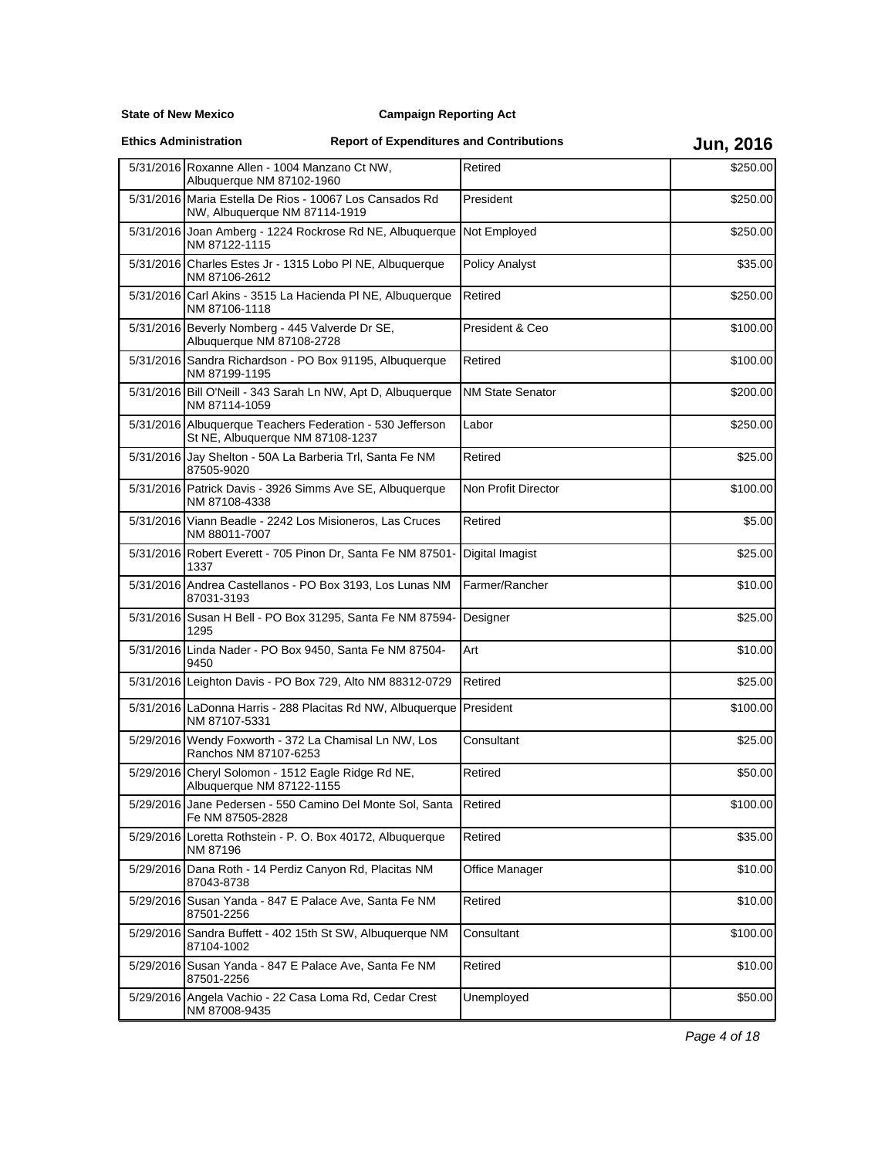**State of New Mexico**

**Ethics Administration**

# **Report of Expenditures and Contributions Jun, 2016**

|           | 5/31/2016 Roxanne Allen - 1004 Manzano Ct NW,<br>Albuquerque NM 87102-1960                    | Retired                 | \$250.00 |
|-----------|-----------------------------------------------------------------------------------------------|-------------------------|----------|
|           | 5/31/2016 Maria Estella De Rios - 10067 Los Cansados Rd<br>NW, Albuquerque NM 87114-1919      | President               | \$250.00 |
|           | 5/31/2016 Joan Amberg - 1224 Rockrose Rd NE, Albuquerque<br>NM 87122-1115                     | Not Employed            | \$250.00 |
|           | 5/31/2016 Charles Estes Jr - 1315 Lobo PI NE, Albuquerque<br>NM 87106-2612                    | <b>Policy Analyst</b>   | \$35.00  |
|           | 5/31/2016 Carl Akins - 3515 La Hacienda PI NE, Albuquerque<br>NM 87106-1118                   | Retired                 | \$250.00 |
|           | 5/31/2016 Beverly Nomberg - 445 Valverde Dr SE,<br>Albuquerque NM 87108-2728                  | President & Ceo         | \$100.00 |
|           | 5/31/2016 Sandra Richardson - PO Box 91195, Albuquerque<br>NM 87199-1195                      | Retired                 | \$100.00 |
|           | 5/31/2016 Bill O'Neill - 343 Sarah Ln NW, Apt D, Albuquerque<br>NM 87114-1059                 | <b>NM State Senator</b> | \$200.00 |
|           | 5/31/2016 Albuquerque Teachers Federation - 530 Jefferson<br>St NE, Albuquerque NM 87108-1237 | Labor                   | \$250.00 |
|           | 5/31/2016 Jay Shelton - 50A La Barberia Trl, Santa Fe NM<br>87505-9020                        | Retired                 | \$25.00  |
|           | 5/31/2016 Patrick Davis - 3926 Simms Ave SE, Albuquerque<br>NM 87108-4338                     | Non Profit Director     | \$100.00 |
|           | 5/31/2016 Viann Beadle - 2242 Los Misioneros, Las Cruces<br>NM 88011-7007                     | Retired                 | \$5.00   |
|           | 5/31/2016 Robert Everett - 705 Pinon Dr, Santa Fe NM 87501-<br>1337                           | Digital Imagist         | \$25.00  |
|           | 5/31/2016 Andrea Castellanos - PO Box 3193, Los Lunas NM<br>87031-3193                        | Farmer/Rancher          | \$10.00  |
|           | 5/31/2016 Susan H Bell - PO Box 31295, Santa Fe NM 87594-<br>1295                             | Designer                | \$25.00  |
|           | 5/31/2016 Linda Nader - PO Box 9450, Santa Fe NM 87504-<br>9450                               | Art                     | \$10.00  |
|           | 5/31/2016 Leighton Davis - PO Box 729, Alto NM 88312-0729                                     | Retired                 | \$25.00  |
|           | 5/31/2016 LaDonna Harris - 288 Placitas Rd NW, Albuquerque President<br>NM 87107-5331         |                         | \$100.00 |
|           | 5/29/2016 Wendy Foxworth - 372 La Chamisal Ln NW, Los<br>Ranchos NM 87107-6253                | Consultant              | \$25.00  |
|           | 5/29/2016 Cheryl Solomon - 1512 Eagle Ridge Rd NE,<br>Albuquerque NM 87122-1155               | Retired                 | \$50.00  |
|           | 5/29/2016 Jane Pedersen - 550 Camino Del Monte Sol, Santa Retired<br>Fe NM 87505-2828         |                         | \$100.00 |
| 5/29/2016 | Loretta Rothstein - P. O. Box 40172, Albuquerque<br>NM 87196                                  | Retired                 | \$35.00  |
|           | 5/29/2016 Dana Roth - 14 Perdiz Canyon Rd, Placitas NM<br>87043-8738                          | Office Manager          | \$10.00  |
|           | 5/29/2016 Susan Yanda - 847 E Palace Ave, Santa Fe NM<br>87501-2256                           | Retired                 | \$10.00  |
|           | 5/29/2016 Sandra Buffett - 402 15th St SW, Albuquerque NM<br>87104-1002                       | Consultant              | \$100.00 |
| 5/29/2016 | Susan Yanda - 847 E Palace Ave, Santa Fe NM<br>87501-2256                                     | Retired                 | \$10.00  |
|           | 5/29/2016 Angela Vachio - 22 Casa Loma Rd, Cedar Crest<br>NM 87008-9435                       | Unemployed              | \$50.00  |

Page 4 of 18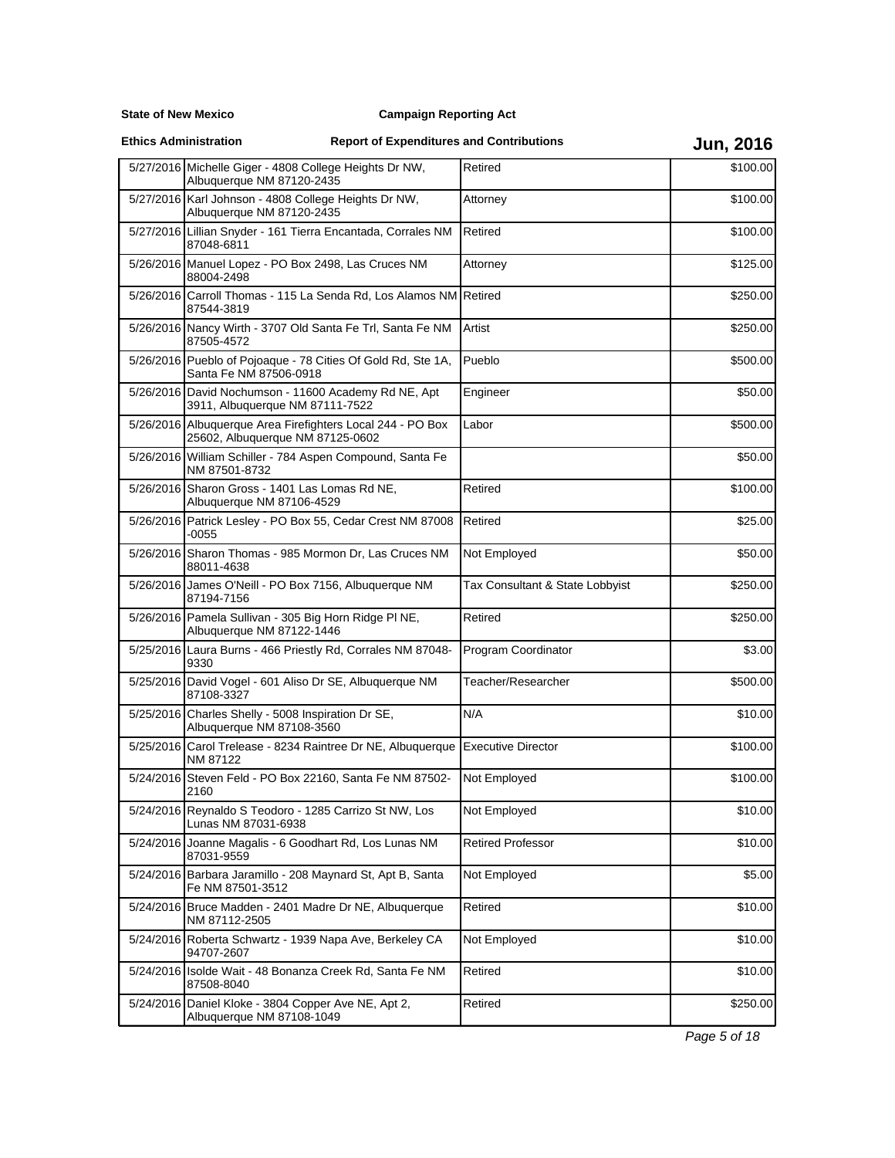**State of New Mexico**

**Ethics Administration**

# **Report of Expenditures and Contributions Jun, 2016**

| 5/27/2016 Michelle Giger - 4808 College Heights Dr NW,<br>Albuquerque NM 87120-2435            | Retired                         | \$100.00 |
|------------------------------------------------------------------------------------------------|---------------------------------|----------|
| 5/27/2016 Karl Johnson - 4808 College Heights Dr NW,<br>Albuquerque NM 87120-2435              | Attorney                        | \$100.00 |
| 5/27/2016 Lillian Snyder - 161 Tierra Encantada, Corrales NM<br>87048-6811                     | Retired                         | \$100.00 |
| 5/26/2016 Manuel Lopez - PO Box 2498, Las Cruces NM<br>88004-2498                              | Attorney                        | \$125.00 |
| 5/26/2016 Carroll Thomas - 115 La Senda Rd, Los Alamos NM Retired<br>87544-3819                |                                 | \$250.00 |
| 5/26/2016 Nancy Wirth - 3707 Old Santa Fe Trl, Santa Fe NM<br>87505-4572                       | Artist                          | \$250.00 |
| 5/26/2016 Pueblo of Pojoaque - 78 Cities Of Gold Rd, Ste 1A,<br>Santa Fe NM 87506-0918         | Pueblo                          | \$500.00 |
| 5/26/2016 David Nochumson - 11600 Academy Rd NE, Apt<br>3911, Albuquerque NM 87111-7522        | Engineer                        | \$50.00  |
| 5/26/2016 Albuquerque Area Firefighters Local 244 - PO Box<br>25602, Albuquerque NM 87125-0602 | Labor                           | \$500.00 |
| 5/26/2016 William Schiller - 784 Aspen Compound, Santa Fe<br>NM 87501-8732                     |                                 | \$50.00  |
| 5/26/2016 Sharon Gross - 1401 Las Lomas Rd NE,<br>Albuquerque NM 87106-4529                    | Retired                         | \$100.00 |
| 5/26/2016 Patrick Lesley - PO Box 55, Cedar Crest NM 87008<br>$-0055$                          | Retired                         | \$25.00  |
| 5/26/2016 Sharon Thomas - 985 Mormon Dr, Las Cruces NM<br>88011-4638                           | Not Employed                    | \$50.00  |
| 5/26/2016 James O'Neill - PO Box 7156, Albuquerque NM<br>87194-7156                            | Tax Consultant & State Lobbyist | \$250.00 |
| 5/26/2016 Pamela Sullivan - 305 Big Horn Ridge PI NE,<br>Albuquerque NM 87122-1446             | Retired                         | \$250.00 |
| 5/25/2016 Laura Burns - 466 Priestly Rd, Corrales NM 87048-<br>9330                            | Program Coordinator             | \$3.00   |
| 5/25/2016 David Vogel - 601 Aliso Dr SE, Albuquerque NM<br>87108-3327                          | Teacher/Researcher              | \$500.00 |
| 5/25/2016 Charles Shelly - 5008 Inspiration Dr SE,<br>Albuquerque NM 87108-3560                | N/A                             | \$10.00  |
| 5/25/2016 Carol Trelease - 8234 Raintree Dr NE, Albuquerque<br>NM 87122                        | <b>Executive Director</b>       | \$100.00 |
| 5/24/2016 Steven Feld - PO Box 22160, Santa Fe NM 87502-<br>2160                               | Not Employed                    | \$100.00 |
| 5/24/2016 Reynaldo S Teodoro - 1285 Carrizo St NW, Los<br>Lunas NM 87031-6938                  | Not Employed                    | \$10.00  |
| 5/24/2016 Joanne Magalis - 6 Goodhart Rd, Los Lunas NM<br>87031-9559                           | <b>Retired Professor</b>        | \$10.00  |
| 5/24/2016 Barbara Jaramillo - 208 Maynard St, Apt B, Santa<br>Fe NM 87501-3512                 | Not Employed                    | \$5.00   |
| 5/24/2016 Bruce Madden - 2401 Madre Dr NE, Albuquerque<br>NM 87112-2505                        | Retired                         | \$10.00  |
| 5/24/2016 Roberta Schwartz - 1939 Napa Ave, Berkeley CA<br>94707-2607                          | Not Employed                    | \$10.00  |
| 5/24/2016 Isolde Wait - 48 Bonanza Creek Rd, Santa Fe NM<br>87508-8040                         | Retired                         | \$10.00  |
| 5/24/2016 Daniel Kloke - 3804 Copper Ave NE, Apt 2,<br>Albuquerque NM 87108-1049               | Retired                         | \$250.00 |

Page 5 of 18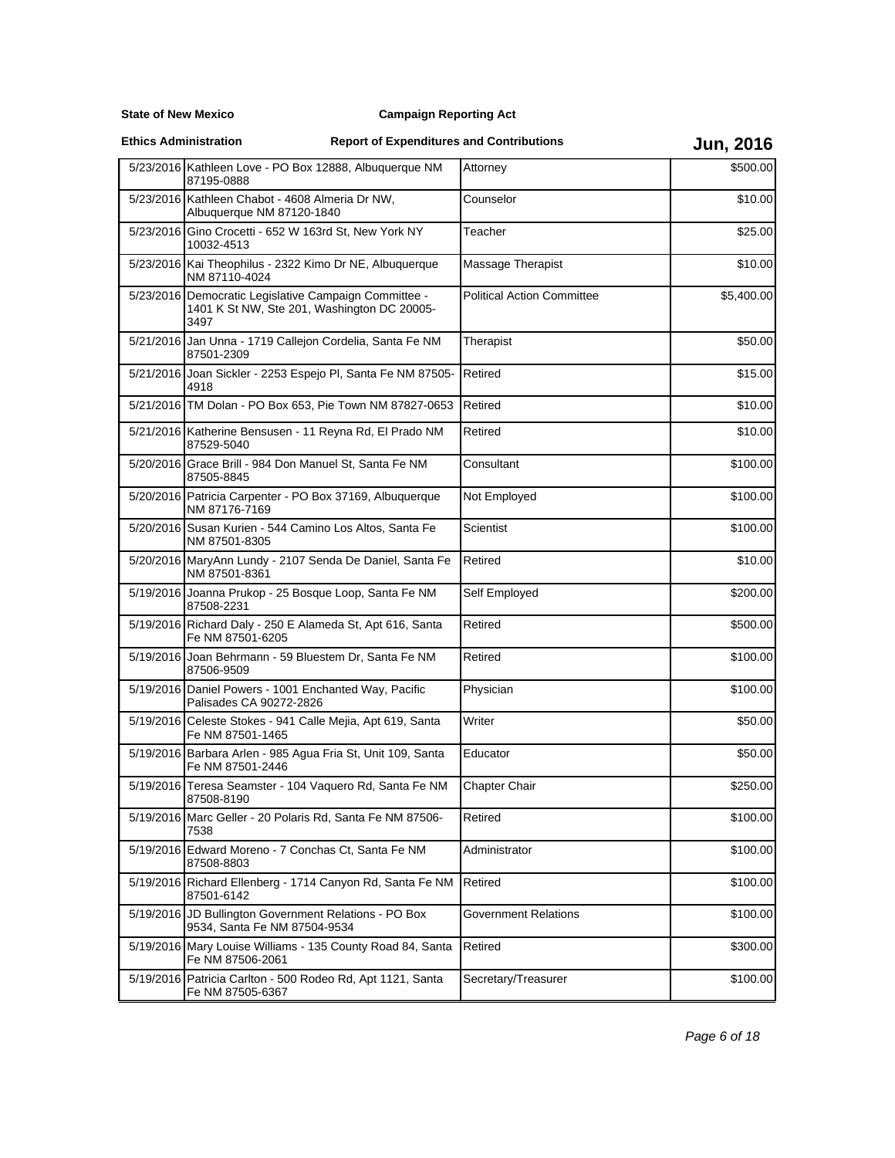**State of New Mexico**

**Ethics Administration**

|           | 5/23/2016 Kathleen Love - PO Box 12888, Albuquerque NM<br>87195-0888                                         | Attorney                          | \$500.00   |
|-----------|--------------------------------------------------------------------------------------------------------------|-----------------------------------|------------|
|           | 5/23/2016 Kathleen Chabot - 4608 Almeria Dr NW,<br>Albuquerque NM 87120-1840                                 | Counselor                         | \$10.00    |
|           | 5/23/2016 Gino Crocetti - 652 W 163rd St, New York NY<br>10032-4513                                          | Teacher                           | \$25.00    |
|           | 5/23/2016 Kai Theophilus - 2322 Kimo Dr NE, Albuquerque<br>NM 87110-4024                                     | Massage Therapist                 | \$10.00    |
|           | 5/23/2016 Democratic Legislative Campaign Committee -<br>1401 K St NW, Ste 201, Washington DC 20005-<br>3497 | <b>Political Action Committee</b> | \$5,400.00 |
|           | 5/21/2016 Jan Unna - 1719 Callejon Cordelia, Santa Fe NM<br>87501-2309                                       | Therapist                         | \$50.00    |
|           | 5/21/2016 Joan Sickler - 2253 Espejo PI, Santa Fe NM 87505-<br>4918                                          | Retired                           | \$15.00    |
|           | 5/21/2016 TM Dolan - PO Box 653, Pie Town NM 87827-0653                                                      | Retired                           | \$10.00    |
|           | 5/21/2016 Katherine Bensusen - 11 Reyna Rd, El Prado NM<br>87529-5040                                        | Retired                           | \$10.00    |
|           | 5/20/2016 Grace Brill - 984 Don Manuel St, Santa Fe NM<br>87505-8845                                         | Consultant                        | \$100.00   |
|           | 5/20/2016 Patricia Carpenter - PO Box 37169, Albuquerque<br>NM 87176-7169                                    | Not Employed                      | \$100.00   |
|           | 5/20/2016 Susan Kurien - 544 Camino Los Altos, Santa Fe<br>NM 87501-8305                                     | Scientist                         | \$100.00   |
|           | 5/20/2016 MaryAnn Lundy - 2107 Senda De Daniel, Santa Fe<br>NM 87501-8361                                    | Retired                           | \$10.00    |
|           | 5/19/2016 Joanna Prukop - 25 Bosque Loop, Santa Fe NM<br>87508-2231                                          | Self Employed                     | \$200.00   |
|           | 5/19/2016 Richard Daly - 250 E Alameda St, Apt 616, Santa<br>Fe NM 87501-6205                                | Retired                           | \$500.00   |
|           | 5/19/2016 Joan Behrmann - 59 Bluestem Dr, Santa Fe NM<br>87506-9509                                          | Retired                           | \$100.00   |
|           | 5/19/2016 Daniel Powers - 1001 Enchanted Way, Pacific<br>Palisades CA 90272-2826                             | Physician                         | \$100.00   |
|           | 5/19/2016 Celeste Stokes - 941 Calle Mejia, Apt 619, Santa<br>Fe NM 87501-1465                               | Writer                            | \$50.00    |
|           | 5/19/2016 Barbara Arlen - 985 Agua Fria St, Unit 109, Santa<br>Fe NM 87501-2446                              | Educator                          | \$50.00    |
|           | 5/19/2016 Teresa Seamster - 104 Vaquero Rd, Santa Fe NM<br>87508-8190                                        | Chapter Chair                     | \$250.00   |
|           | 5/19/2016 Marc Geller - 20 Polaris Rd, Santa Fe NM 87506-<br>7538                                            | Retired                           | \$100.00   |
| 5/19/2016 | Edward Moreno - 7 Conchas Ct, Santa Fe NM<br>87508-8803                                                      | Administrator                     | \$100.00   |
|           | 5/19/2016 Richard Ellenberg - 1714 Canyon Rd, Santa Fe NM<br>87501-6142                                      | Retired                           | \$100.00   |
|           | 5/19/2016 JD Bullington Government Relations - PO Box<br>9534, Santa Fe NM 87504-9534                        | <b>Government Relations</b>       | \$100.00   |
| 5/19/2016 | Mary Louise Williams - 135 County Road 84, Santa<br>Fe NM 87506-2061                                         | Retired                           | \$300.00   |
|           | 5/19/2016 Patricia Carlton - 500 Rodeo Rd, Apt 1121, Santa<br>Fe NM 87505-6367                               | Secretary/Treasurer               | \$100.00   |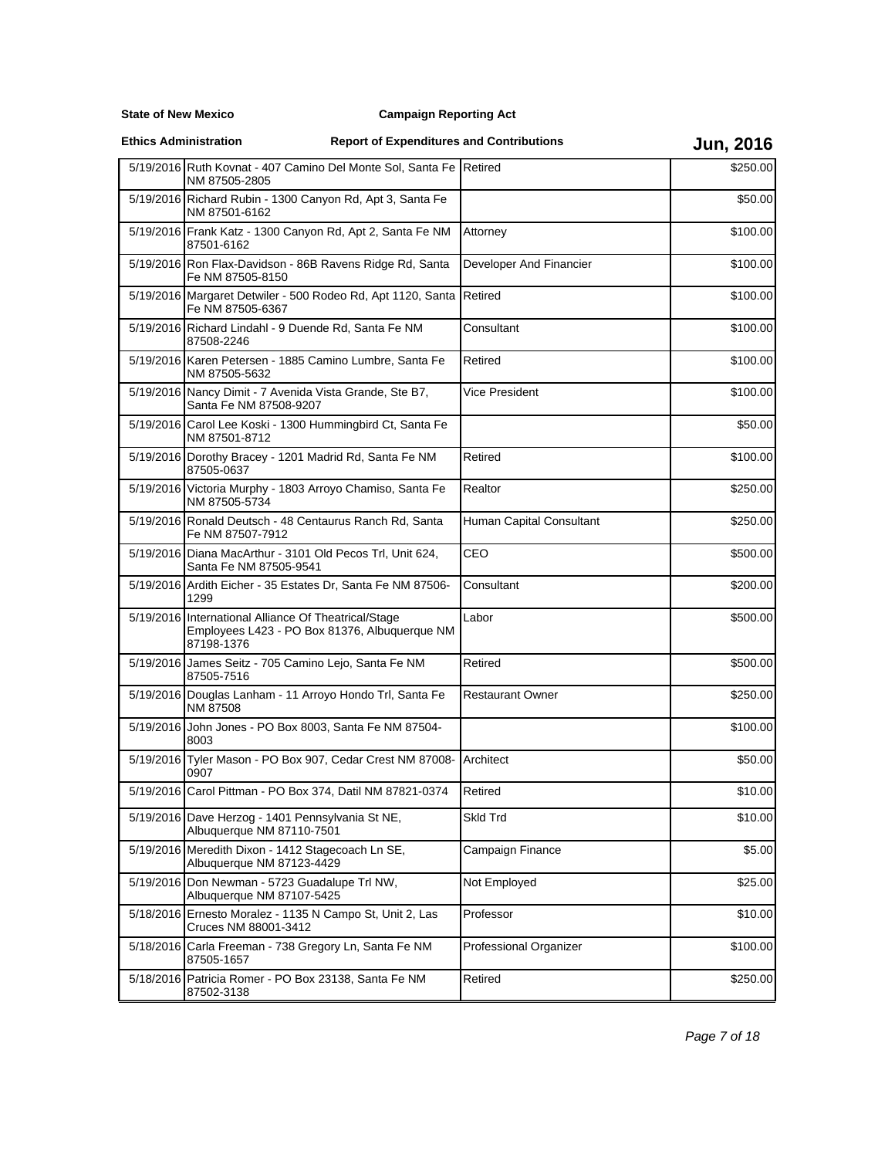**State of New Mexico**

| <b>Ethics Administration</b> |                                                                                                                     | <b>Report of Expenditures and Contributions</b> |                          | <b>Jun, 2016</b> |
|------------------------------|---------------------------------------------------------------------------------------------------------------------|-------------------------------------------------|--------------------------|------------------|
|                              | 5/19/2016 Ruth Kovnat - 407 Camino Del Monte Sol, Santa Fe Retired<br>NM 87505-2805                                 |                                                 |                          | \$250.00         |
|                              | 5/19/2016 Richard Rubin - 1300 Canyon Rd, Apt 3, Santa Fe<br>NM 87501-6162                                          |                                                 |                          | \$50.00          |
|                              | 5/19/2016 Frank Katz - 1300 Canyon Rd, Apt 2, Santa Fe NM<br>87501-6162                                             |                                                 | Attorney                 | \$100.00         |
|                              | 5/19/2016 Ron Flax-Davidson - 86B Ravens Ridge Rd, Santa<br>Fe NM 87505-8150                                        |                                                 | Developer And Financier  | \$100.00         |
|                              | 5/19/2016 Margaret Detwiler - 500 Rodeo Rd, Apt 1120, Santa<br>Fe NM 87505-6367                                     |                                                 | Retired                  | \$100.00         |
|                              | 5/19/2016 Richard Lindahl - 9 Duende Rd. Santa Fe NM<br>87508-2246                                                  |                                                 | Consultant               | \$100.00         |
|                              | 5/19/2016 Karen Petersen - 1885 Camino Lumbre, Santa Fe<br>NM 87505-5632                                            |                                                 | Retired                  | \$100.00         |
|                              | 5/19/2016 Nancy Dimit - 7 Avenida Vista Grande, Ste B7,<br>Santa Fe NM 87508-9207                                   |                                                 | Vice President           | \$100.00         |
|                              | 5/19/2016 Carol Lee Koski - 1300 Hummingbird Ct, Santa Fe<br>NM 87501-8712                                          |                                                 |                          | \$50.00          |
|                              | 5/19/2016 Dorothy Bracey - 1201 Madrid Rd, Santa Fe NM<br>87505-0637                                                |                                                 | Retired                  | \$100.00         |
|                              | 5/19/2016 Victoria Murphy - 1803 Arroyo Chamiso, Santa Fe<br>NM 87505-5734                                          |                                                 | Realtor                  | \$250.00         |
|                              | 5/19/2016 Ronald Deutsch - 48 Centaurus Ranch Rd, Santa<br>Fe NM 87507-7912                                         |                                                 | Human Capital Consultant | \$250.00         |
|                              | 5/19/2016 Diana MacArthur - 3101 Old Pecos Trl, Unit 624,<br>Santa Fe NM 87505-9541                                 |                                                 | CEO                      | \$500.00         |
|                              | 5/19/2016 Ardith Eicher - 35 Estates Dr, Santa Fe NM 87506-<br>1299                                                 |                                                 | Consultant               | \$200.00         |
|                              | 5/19/2016 International Alliance Of Theatrical/Stage<br>Employees L423 - PO Box 81376, Albuquerque NM<br>87198-1376 |                                                 | Labor                    | \$500.00         |
|                              | 5/19/2016 James Seitz - 705 Camino Lejo, Santa Fe NM<br>87505-7516                                                  |                                                 | Retired                  | \$500.00         |
|                              | 5/19/2016 Douglas Lanham - 11 Arroyo Hondo Trl, Santa Fe<br>NM 87508                                                |                                                 | <b>Restaurant Owner</b>  | \$250.00         |
|                              | 5/19/2016 John Jones - PO Box 8003, Santa Fe NM 87504-<br>8003                                                      |                                                 |                          | \$100.00         |
|                              | 5/19/2016 Tyler Mason - PO Box 907, Cedar Crest NM 87008-<br>0907                                                   |                                                 | <b>Architect</b>         | \$50.00          |
|                              | 5/19/2016 Carol Pittman - PO Box 374, Datil NM 87821-0374                                                           |                                                 | Retired                  | \$10.00          |
|                              | 5/19/2016 Dave Herzog - 1401 Pennsylvania St NE,<br>Albuquerque NM 87110-7501                                       |                                                 | Skld Trd                 | \$10.00          |
|                              | 5/19/2016 Meredith Dixon - 1412 Stagecoach Ln SE,<br>Albuquerque NM 87123-4429                                      |                                                 | Campaign Finance         | \$5.00           |
|                              | 5/19/2016 Don Newman - 5723 Guadalupe Trl NW,<br>Albuquerque NM 87107-5425                                          |                                                 | Not Employed             | \$25.00          |
|                              | 5/18/2016 Ernesto Moralez - 1135 N Campo St, Unit 2, Las<br>Cruces NM 88001-3412                                    |                                                 | Professor                | \$10.00          |
|                              | 5/18/2016 Carla Freeman - 738 Gregory Ln, Santa Fe NM<br>87505-1657                                                 |                                                 | Professional Organizer   | \$100.00         |
|                              | 5/18/2016 Patricia Romer - PO Box 23138, Santa Fe NM<br>87502-3138                                                  |                                                 | Retired                  | \$250.00         |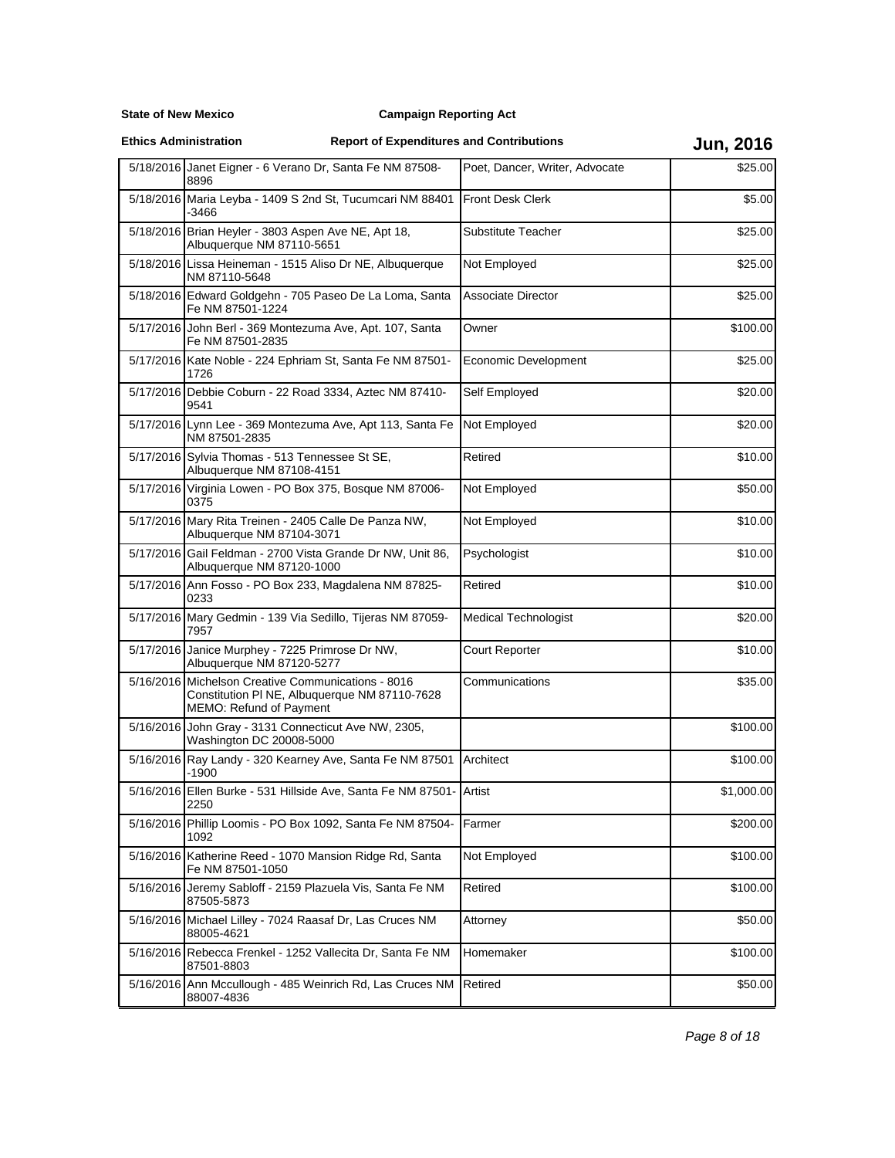**State of New Mexico**

| <b>Ethics Administration</b> |  |
|------------------------------|--|
|                              |  |

|           | 5/18/2016 Janet Eigner - 6 Verano Dr, Santa Fe NM 87508-<br>8896                                                               | Poet, Dancer, Writer, Advocate | \$25.00    |
|-----------|--------------------------------------------------------------------------------------------------------------------------------|--------------------------------|------------|
|           | 5/18/2016 Maria Leyba - 1409 S 2nd St, Tucumcari NM 88401<br>-3466                                                             | <b>Front Desk Clerk</b>        | \$5.00     |
|           | 5/18/2016 Brian Heyler - 3803 Aspen Ave NE, Apt 18,<br>Albuquerque NM 87110-5651                                               | Substitute Teacher             | \$25.00    |
|           | 5/18/2016 Lissa Heineman - 1515 Aliso Dr NE, Albuquerque<br>NM 87110-5648                                                      | Not Employed                   | \$25.00    |
|           | 5/18/2016 Edward Goldgehn - 705 Paseo De La Loma, Santa<br>Fe NM 87501-1224                                                    | <b>Associate Director</b>      | \$25.00    |
|           | 5/17/2016 John Berl - 369 Montezuma Ave, Apt. 107, Santa<br>Fe NM 87501-2835                                                   | Owner                          | \$100.00   |
|           | 5/17/2016 Kate Noble - 224 Ephriam St, Santa Fe NM 87501-<br>1726                                                              | Economic Development           | \$25.00    |
|           | 5/17/2016 Debbie Coburn - 22 Road 3334, Aztec NM 87410-<br>9541                                                                | Self Employed                  | \$20.00    |
|           | 5/17/2016 Lynn Lee - 369 Montezuma Ave, Apt 113, Santa Fe<br>NM 87501-2835                                                     | Not Employed                   | \$20.00    |
|           | 5/17/2016 Sylvia Thomas - 513 Tennessee St SE,<br>Albuquerque NM 87108-4151                                                    | Retired                        | \$10.00    |
|           | 5/17/2016 Virginia Lowen - PO Box 375, Bosque NM 87006-<br>0375                                                                | Not Employed                   | \$50.00    |
|           | 5/17/2016 Mary Rita Treinen - 2405 Calle De Panza NW,<br>Albuquerque NM 87104-3071                                             | Not Employed                   | \$10.00    |
|           | 5/17/2016 Gail Feldman - 2700 Vista Grande Dr NW, Unit 86,<br>Albuquerque NM 87120-1000                                        | Psychologist                   | \$10.00    |
|           | 5/17/2016 Ann Fosso - PO Box 233, Magdalena NM 87825-<br>0233                                                                  | Retired                        | \$10.00    |
|           | 5/17/2016 Mary Gedmin - 139 Via Sedillo, Tijeras NM 87059-<br>7957                                                             | <b>Medical Technologist</b>    | \$20.00    |
|           | 5/17/2016 Janice Murphey - 7225 Primrose Dr NW,<br>Albuquerque NM 87120-5277                                                   | Court Reporter                 | \$10.00    |
|           | 5/16/2016 Michelson Creative Communications - 8016<br>Constitution PI NE, Albuquerque NM 87110-7628<br>MEMO: Refund of Payment | Communications                 | \$35.00    |
|           | 5/16/2016 John Gray - 3131 Connecticut Ave NW, 2305,<br>Washington DC 20008-5000                                               |                                | \$100.00   |
|           | 5/16/2016 Ray Landy - 320 Kearney Ave, Santa Fe NM 87501<br>-1900                                                              | Architect                      | \$100.00   |
|           | 5/16/2016 Ellen Burke - 531 Hillside Ave, Santa Fe NM 87501- Artist<br>2250                                                    |                                | \$1,000.00 |
|           | 5/16/2016 Phillip Loomis - PO Box 1092, Santa Fe NM 87504-<br>1092                                                             | Farmer                         | \$200.00   |
| 5/16/2016 | Katherine Reed - 1070 Mansion Ridge Rd, Santa<br>Fe NM 87501-1050                                                              | Not Employed                   | \$100.00   |
|           | 5/16/2016 Jeremy Sabloff - 2159 Plazuela Vis, Santa Fe NM<br>87505-5873                                                        | Retired                        | \$100.00   |
|           | 5/16/2016 Michael Lilley - 7024 Raasaf Dr, Las Cruces NM<br>88005-4621                                                         | Attorney                       | \$50.00    |
|           | 5/16/2016 Rebecca Frenkel - 1252 Vallecita Dr, Santa Fe NM<br>87501-8803                                                       | Homemaker                      | \$100.00   |
|           | 5/16/2016 Ann Mccullough - 485 Weinrich Rd, Las Cruces NM<br>88007-4836                                                        | Retired                        | \$50.00    |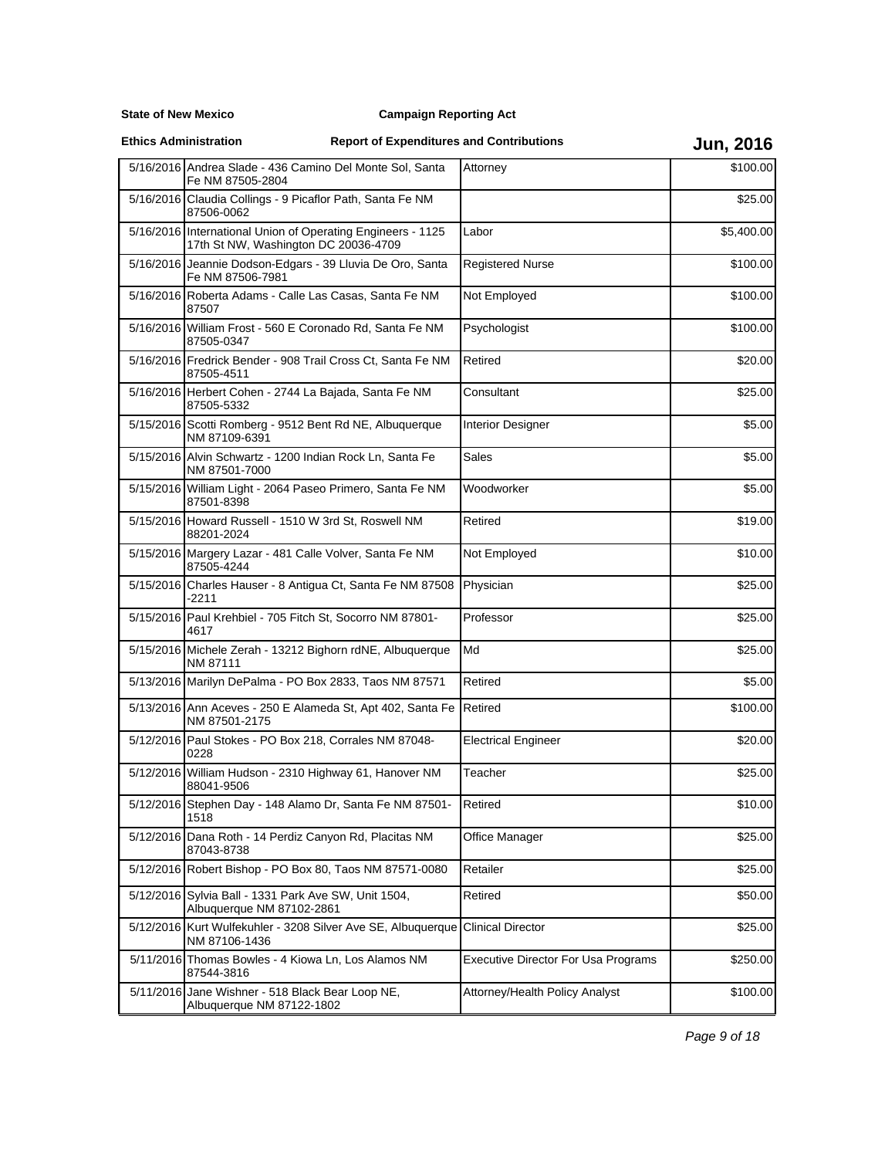**State of New Mexico**

|           | 5/16/2016 Andrea Slade - 436 Camino Del Monte Sol, Santa                                            | Attorney                            | \$100.00   |
|-----------|-----------------------------------------------------------------------------------------------------|-------------------------------------|------------|
|           | Fe NM 87505-2804                                                                                    |                                     |            |
|           | 5/16/2016 Claudia Collings - 9 Picaflor Path, Santa Fe NM<br>87506-0062                             |                                     | \$25.00    |
|           | 5/16/2016 International Union of Operating Engineers - 1125<br>17th St NW, Washington DC 20036-4709 | Labor                               | \$5,400.00 |
|           | 5/16/2016 Jeannie Dodson-Edgars - 39 Lluvia De Oro, Santa<br>Fe NM 87506-7981                       | <b>Registered Nurse</b>             | \$100.00   |
|           | 5/16/2016 Roberta Adams - Calle Las Casas, Santa Fe NM<br>87507                                     | Not Employed                        | \$100.00   |
|           | 5/16/2016 William Frost - 560 E Coronado Rd, Santa Fe NM<br>87505-0347                              | Psychologist                        | \$100.00   |
|           | 5/16/2016 Fredrick Bender - 908 Trail Cross Ct, Santa Fe NM<br>87505-4511                           | Retired                             | \$20.00    |
|           | 5/16/2016 Herbert Cohen - 2744 La Bajada, Santa Fe NM<br>87505-5332                                 | Consultant                          | \$25.00    |
|           | 5/15/2016 Scotti Romberg - 9512 Bent Rd NE, Albuquerque<br>NM 87109-6391                            | <b>Interior Designer</b>            | \$5.00     |
|           | 5/15/2016 Alvin Schwartz - 1200 Indian Rock Ln, Santa Fe<br>NM 87501-7000                           | Sales                               | \$5.00     |
|           | 5/15/2016 William Light - 2064 Paseo Primero, Santa Fe NM<br>87501-8398                             | Woodworker                          | \$5.00     |
|           | 5/15/2016 Howard Russell - 1510 W 3rd St, Roswell NM<br>88201-2024                                  | Retired                             | \$19.00    |
|           | 5/15/2016 Margery Lazar - 481 Calle Volver, Santa Fe NM<br>87505-4244                               | Not Employed                        | \$10.00    |
|           | 5/15/2016 Charles Hauser - 8 Antigua Ct, Santa Fe NM 87508<br>-2211                                 | Physician                           | \$25.00    |
|           | 5/15/2016 Paul Krehbiel - 705 Fitch St, Socorro NM 87801-<br>4617                                   | Professor                           | \$25.00    |
|           | 5/15/2016 Michele Zerah - 13212 Bighorn rdNE, Albuquerque<br>NM 87111                               | Md                                  | \$25.00    |
|           | 5/13/2016 Marilyn DePalma - PO Box 2833, Taos NM 87571                                              | Retired                             | \$5.00     |
|           | 5/13/2016 Ann Aceves - 250 E Alameda St, Apt 402, Santa Fe<br>NM 87501-2175                         | Retired                             | \$100.00   |
|           | 5/12/2016 Paul Stokes - PO Box 218, Corrales NM 87048-<br>0228                                      | <b>Electrical Engineer</b>          | \$20.00    |
|           | 5/12/2016 William Hudson - 2310 Highway 61, Hanover NM<br>88041-9506                                | Teacher                             | \$25.00    |
|           | 5/12/2016 Stephen Day - 148 Alamo Dr, Santa Fe NM 87501-<br>1518                                    | Retired                             | \$10.00    |
|           | 5/12/2016 Dana Roth - 14 Perdiz Canyon Rd, Placitas NM<br>87043-8738                                | Office Manager                      | \$25.00    |
|           | 5/12/2016 Robert Bishop - PO Box 80, Taos NM 87571-0080                                             | Retailer                            | \$25.00    |
|           | 5/12/2016 Sylvia Ball - 1331 Park Ave SW, Unit 1504,<br>Albuquerque NM 87102-2861                   | Retired                             | \$50.00    |
| 5/12/2016 | Kurt Wulfekuhler - 3208 Silver Ave SE, Albuquerque<br>NM 87106-1436                                 | <b>Clinical Director</b>            | \$25.00    |
|           | 5/11/2016 Thomas Bowles - 4 Kiowa Ln, Los Alamos NM<br>87544-3816                                   | Executive Director For Usa Programs | \$250.00   |
|           | 5/11/2016 Jane Wishner - 518 Black Bear Loop NE,<br>Albuquerque NM 87122-1802                       | Attorney/Health Policy Analyst      | \$100.00   |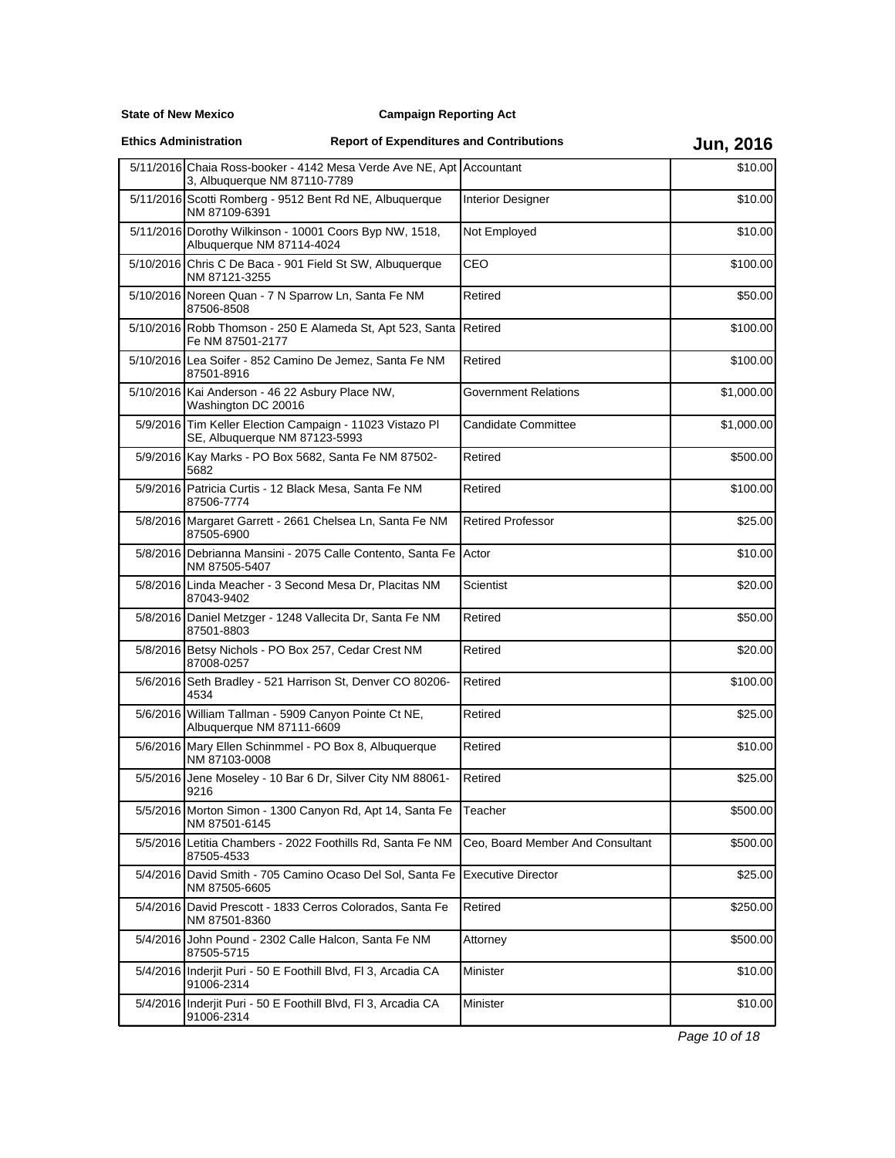**State of New Mexico**

| <b>Ethics Administration</b> |                                                                                                      | <b>Report of Expenditures and Contributions</b> | <b>Jun, 2016</b>                 |            |
|------------------------------|------------------------------------------------------------------------------------------------------|-------------------------------------------------|----------------------------------|------------|
|                              | 5/11/2016 Chaia Ross-booker - 4142 Mesa Verde Ave NE, Apt Accountant<br>3, Albuquerque NM 87110-7789 |                                                 |                                  | \$10.00    |
|                              | 5/11/2016 Scotti Romberg - 9512 Bent Rd NE, Albuquerque<br>NM 87109-6391                             |                                                 | <b>Interior Designer</b>         | \$10.00    |
|                              | 5/11/2016 Dorothy Wilkinson - 10001 Coors Byp NW, 1518,<br>Albuquerque NM 87114-4024                 |                                                 | Not Employed                     | \$10.00    |
|                              | 5/10/2016 Chris C De Baca - 901 Field St SW, Albuquerque<br>NM 87121-3255                            |                                                 | CEO                              | \$100.00   |
|                              | 5/10/2016 Noreen Quan - 7 N Sparrow Ln, Santa Fe NM<br>87506-8508                                    |                                                 | Retired                          | \$50.00    |
|                              | 5/10/2016 Robb Thomson - 250 E Alameda St, Apt 523, Santa<br>Fe NM 87501-2177                        |                                                 | Retired                          | \$100.00   |
|                              | 5/10/2016 Lea Soifer - 852 Camino De Jemez, Santa Fe NM<br>87501-8916                                |                                                 | Retired                          | \$100.00   |
|                              | 5/10/2016 Kai Anderson - 46 22 Asbury Place NW,<br>Washington DC 20016                               |                                                 | <b>Government Relations</b>      | \$1,000.00 |
|                              | 5/9/2016 Tim Keller Election Campaign - 11023 Vistazo PI<br>SE, Albuquerque NM 87123-5993            |                                                 | <b>Candidate Committee</b>       | \$1,000.00 |
|                              | 5/9/2016 Kay Marks - PO Box 5682, Santa Fe NM 87502-<br>5682                                         |                                                 | Retired                          | \$500.00   |
|                              | 5/9/2016 Patricia Curtis - 12 Black Mesa, Santa Fe NM<br>87506-7774                                  |                                                 | Retired                          | \$100.00   |
|                              | 5/8/2016 Margaret Garrett - 2661 Chelsea Ln, Santa Fe NM<br>87505-6900                               |                                                 | <b>Retired Professor</b>         | \$25.00    |
|                              | 5/8/2016 Debrianna Mansini - 2075 Calle Contento, Santa Fe<br>NM 87505-5407                          |                                                 | Actor                            | \$10.00    |
|                              | 5/8/2016 Linda Meacher - 3 Second Mesa Dr, Placitas NM<br>87043-9402                                 |                                                 | Scientist                        | \$20.00    |
|                              | 5/8/2016 Daniel Metzger - 1248 Vallecita Dr, Santa Fe NM<br>87501-8803                               |                                                 | Retired                          | \$50.00    |
|                              | 5/8/2016 Betsy Nichols - PO Box 257, Cedar Crest NM<br>87008-0257                                    |                                                 | Retired                          | \$20.00    |
|                              | 5/6/2016 Seth Bradley - 521 Harrison St, Denver CO 80206-<br>4534                                    |                                                 | Retired                          | \$100.00   |
|                              | 5/6/2016 William Tallman - 5909 Canyon Pointe Ct NE,<br>Albuquerque NM 87111-6609                    |                                                 | Retired                          | \$25.00    |
|                              | 5/6/2016 Mary Ellen Schinmmel - PO Box 8, Albuquerque<br>NM 87103-0008                               |                                                 | Retired                          | \$10.00    |
|                              | 5/5/2016 Jene Moseley - 10 Bar 6 Dr, Silver City NM 88061-<br>9216                                   |                                                 | Retired                          | \$25.00    |
| 5/5/2016                     | Morton Simon - 1300 Canyon Rd, Apt 14, Santa Fe<br>NM 87501-6145                                     |                                                 | Teacher                          | \$500.00   |
|                              | 5/5/2016 Letitia Chambers - 2022 Foothills Rd, Santa Fe NM<br>87505-4533                             |                                                 | Ceo, Board Member And Consultant | \$500.00   |
|                              | 5/4/2016 David Smith - 705 Camino Ocaso Del Sol, Santa Fe<br>NM 87505-6605                           |                                                 | <b>Executive Director</b>        | \$25.00    |
| 5/4/2016                     | David Prescott - 1833 Cerros Colorados, Santa Fe<br>NM 87501-8360                                    |                                                 | Retired                          | \$250.00   |
|                              | 5/4/2016 John Pound - 2302 Calle Halcon, Santa Fe NM<br>87505-5715                                   |                                                 | Attorney                         | \$500.00   |
|                              | 5/4/2016 Inderjit Puri - 50 E Foothill Blvd, FI 3, Arcadia CA<br>91006-2314                          |                                                 | Minister                         | \$10.00    |
|                              | 5/4/2016 Inderjit Puri - 50 E Foothill Blvd, FI 3, Arcadia CA<br>91006-2314                          |                                                 | Minister                         | \$10.00    |

Page 10 of 18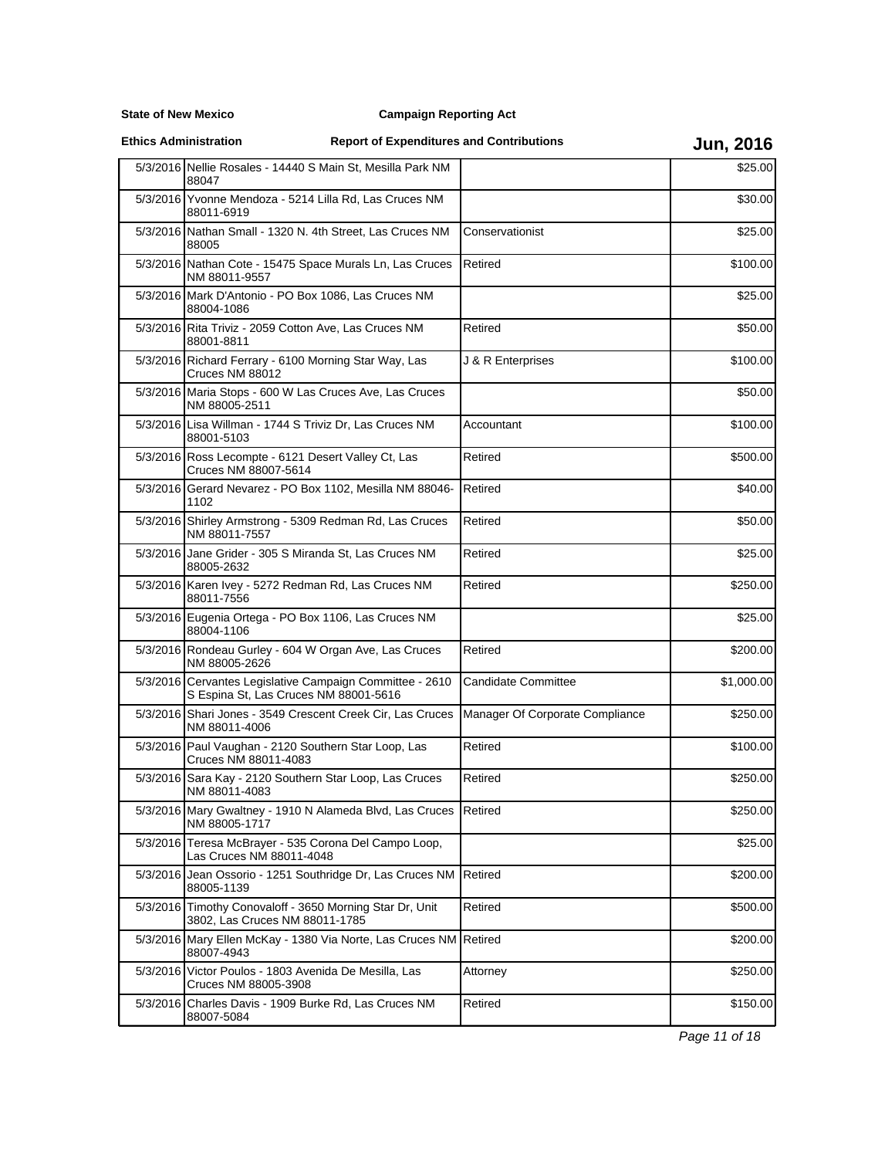## **Campaign Reporting Act**

|  |  | <b>Ethics Administration</b> |  |
|--|--|------------------------------|--|
|--|--|------------------------------|--|

# **Report of Expenditures and Contributions Jun, 2016**

|          | 5/3/2016 Nellie Rosales - 14440 S Main St, Mesilla Park NM<br>88047                               |                                 | \$25.00    |
|----------|---------------------------------------------------------------------------------------------------|---------------------------------|------------|
|          | 5/3/2016 Yvonne Mendoza - 5214 Lilla Rd, Las Cruces NM<br>88011-6919                              |                                 | \$30.00    |
|          | 5/3/2016 Nathan Small - 1320 N. 4th Street, Las Cruces NM<br>88005                                | Conservationist                 | \$25.00    |
|          | 5/3/2016 Nathan Cote - 15475 Space Murals Ln, Las Cruces<br>NM 88011-9557                         | Retired                         | \$100.00   |
|          | 5/3/2016 Mark D'Antonio - PO Box 1086, Las Cruces NM<br>88004-1086                                |                                 | \$25.00    |
|          | 5/3/2016 Rita Triviz - 2059 Cotton Ave, Las Cruces NM<br>88001-8811                               | Retired                         | \$50.00    |
|          | 5/3/2016 Richard Ferrary - 6100 Morning Star Way, Las<br>Cruces NM 88012                          | J & R Enterprises               | \$100.00   |
|          | 5/3/2016 Maria Stops - 600 W Las Cruces Ave, Las Cruces<br>NM 88005-2511                          |                                 | \$50.00    |
|          | 5/3/2016 Lisa Willman - 1744 S Triviz Dr, Las Cruces NM<br>88001-5103                             | Accountant                      | \$100.00   |
|          | 5/3/2016 Ross Lecompte - 6121 Desert Valley Ct, Las<br>Cruces NM 88007-5614                       | Retired                         | \$500.00   |
|          | 5/3/2016 Gerard Nevarez - PO Box 1102, Mesilla NM 88046-<br>1102                                  | Retired                         | \$40.00    |
|          | 5/3/2016 Shirley Armstrong - 5309 Redman Rd, Las Cruces<br>NM 88011-7557                          | Retired                         | \$50.00    |
|          | 5/3/2016 Jane Grider - 305 S Miranda St, Las Cruces NM<br>88005-2632                              | Retired                         | \$25.00    |
|          | 5/3/2016 Karen Ivey - 5272 Redman Rd, Las Cruces NM<br>88011-7556                                 | Retired                         | \$250.00   |
|          | 5/3/2016 Eugenia Ortega - PO Box 1106, Las Cruces NM<br>88004-1106                                |                                 | \$25.00    |
|          | 5/3/2016 Rondeau Gurley - 604 W Organ Ave, Las Cruces<br>NM 88005-2626                            | Retired                         | \$200.00   |
|          | 5/3/2016 Cervantes Legislative Campaign Committee - 2610<br>S Espina St, Las Cruces NM 88001-5616 | <b>Candidate Committee</b>      | \$1,000.00 |
|          | 5/3/2016 Shari Jones - 3549 Crescent Creek Cir, Las Cruces<br>NM 88011-4006                       | Manager Of Corporate Compliance | \$250.00   |
|          | 5/3/2016 Paul Vaughan - 2120 Southern Star Loop, Las<br>Cruces NM 88011-4083                      | Retired                         | \$100.00   |
|          | 5/3/2016 Sara Kay - 2120 Southern Star Loop, Las Cruces<br>NM 88011-4083                          | Retired                         | \$250.00   |
|          | 5/3/2016 Mary Gwaltney - 1910 N Alameda Blvd, Las Cruces Retired<br>NM 88005-1717                 |                                 | \$250.00   |
|          | 5/3/2016 Teresa McBrayer - 535 Corona Del Campo Loop,<br>Las Cruces NM 88011-4048                 |                                 | \$25.00    |
| 5/3/2016 | Jean Ossorio - 1251 Southridge Dr, Las Cruces NM<br>88005-1139                                    | Retired                         | \$200.00   |
|          | 5/3/2016 Timothy Conovaloff - 3650 Morning Star Dr, Unit<br>3802, Las Cruces NM 88011-1785        | Retired                         | \$500.00   |
|          | 5/3/2016 Mary Ellen McKay - 1380 Via Norte, Las Cruces NM Retired<br>88007-4943                   |                                 | \$200.00   |
|          | 5/3/2016 Victor Poulos - 1803 Avenida De Mesilla, Las<br>Cruces NM 88005-3908                     | Attorney                        | \$250.00   |
| 5/3/2016 | Charles Davis - 1909 Burke Rd, Las Cruces NM<br>88007-5084                                        | Retired                         | \$150.00   |

Page 11 of 18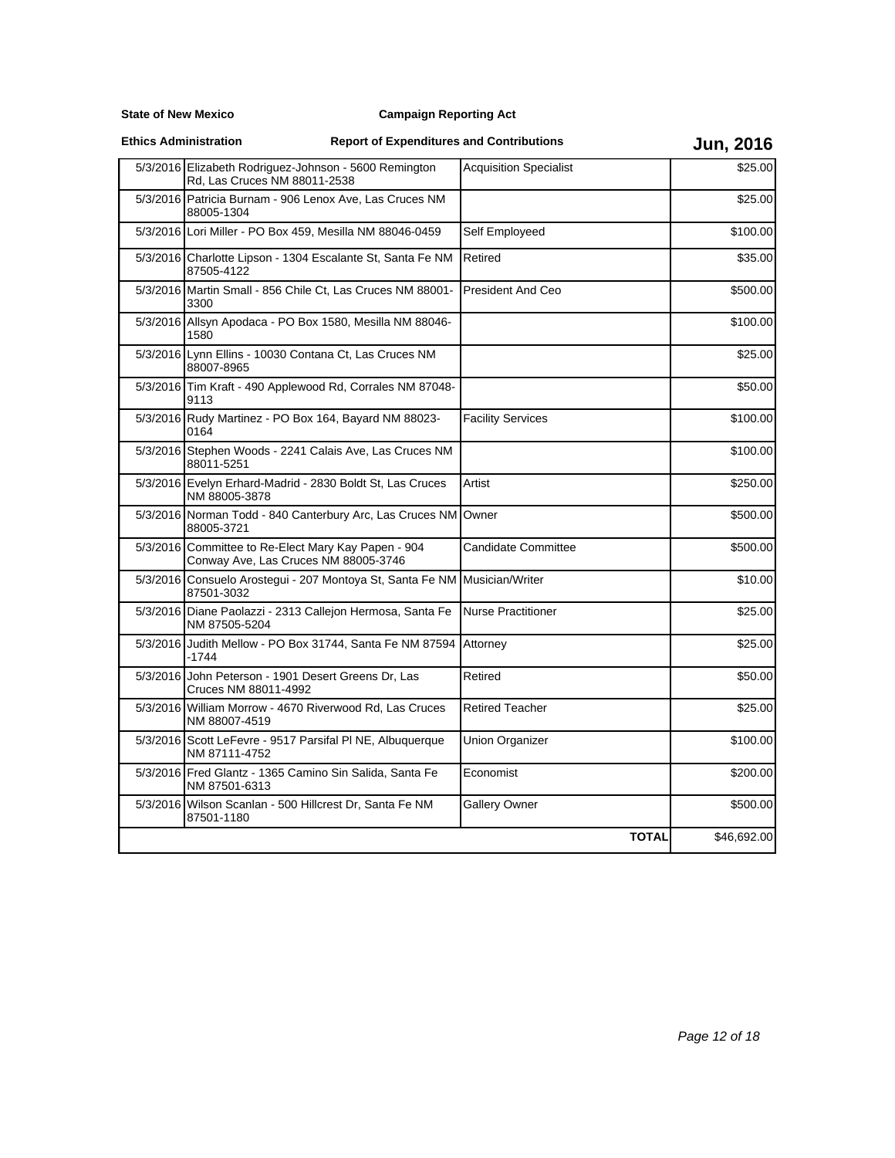**State of New Mexico**

| <b>Ethics Administration</b> |
|------------------------------|
|                              |

| 5/3/2016 Elizabeth Rodriguez-Johnson - 5600 Remington<br>Rd, Las Cruces NM 88011-2538       | <b>Acquisition Specialist</b> | \$25.00     |
|---------------------------------------------------------------------------------------------|-------------------------------|-------------|
| 5/3/2016 Patricia Burnam - 906 Lenox Ave, Las Cruces NM<br>88005-1304                       |                               | \$25.00     |
| 5/3/2016 Lori Miller - PO Box 459, Mesilla NM 88046-0459                                    | Self Employeed                | \$100.00    |
| 5/3/2016 Charlotte Lipson - 1304 Escalante St, Santa Fe NM<br>87505-4122                    | Retired                       | \$35.00     |
| 5/3/2016 Martin Small - 856 Chile Ct, Las Cruces NM 88001-<br>3300                          | <b>President And Ceo</b>      | \$500.00    |
| 5/3/2016 Allsyn Apodaca - PO Box 1580, Mesilla NM 88046-<br>1580                            |                               | \$100.00    |
| 5/3/2016 Lynn Ellins - 10030 Contana Ct, Las Cruces NM<br>88007-8965                        |                               | \$25.00     |
| 5/3/2016 Tim Kraft - 490 Applewood Rd, Corrales NM 87048-<br>9113                           |                               | \$50.00     |
| 5/3/2016 Rudy Martinez - PO Box 164, Bayard NM 88023-<br>0164                               | <b>Facility Services</b>      | \$100.00    |
| 5/3/2016 Stephen Woods - 2241 Calais Ave, Las Cruces NM<br>88011-5251                       |                               | \$100.00    |
| 5/3/2016 Evelyn Erhard-Madrid - 2830 Boldt St, Las Cruces<br>NM 88005-3878                  | Artist                        | \$250.00    |
| 5/3/2016 Norman Todd - 840 Canterbury Arc, Las Cruces NM<br>88005-3721                      | Owner                         | \$500.00    |
| 5/3/2016 Committee to Re-Elect Mary Kay Papen - 904<br>Conway Ave, Las Cruces NM 88005-3746 | Candidate Committee           | \$500.00    |
| 5/3/2016 Consuelo Arostegui - 207 Montoya St, Santa Fe NM<br>87501-3032                     | Musician/Writer               | \$10.00     |
| 5/3/2016 Diane Paolazzi - 2313 Callejon Hermosa, Santa Fe<br>NM 87505-5204                  | <b>Nurse Practitioner</b>     | \$25.00     |
| 5/3/2016 Judith Mellow - PO Box 31744, Santa Fe NM 87594<br>$-1744$                         | Attorney                      | \$25.00     |
| 5/3/2016 John Peterson - 1901 Desert Greens Dr, Las<br>Cruces NM 88011-4992                 | Retired                       | \$50.00     |
| 5/3/2016 William Morrow - 4670 Riverwood Rd, Las Cruces<br>NM 88007-4519                    | <b>Retired Teacher</b>        | \$25.00     |
| 5/3/2016 Scott LeFevre - 9517 Parsifal PI NE, Albuquerque<br>NM 87111-4752                  | Union Organizer               | \$100.00    |
| 5/3/2016 Fred Glantz - 1365 Camino Sin Salida, Santa Fe<br>NM 87501-6313                    | Economist                     | \$200.00    |
| 5/3/2016 Wilson Scanlan - 500 Hillcrest Dr, Santa Fe NM<br>87501-1180                       | Gallery Owner                 | \$500.00    |
|                                                                                             | <b>TOTAL</b>                  | \$46,692.00 |
|                                                                                             |                               |             |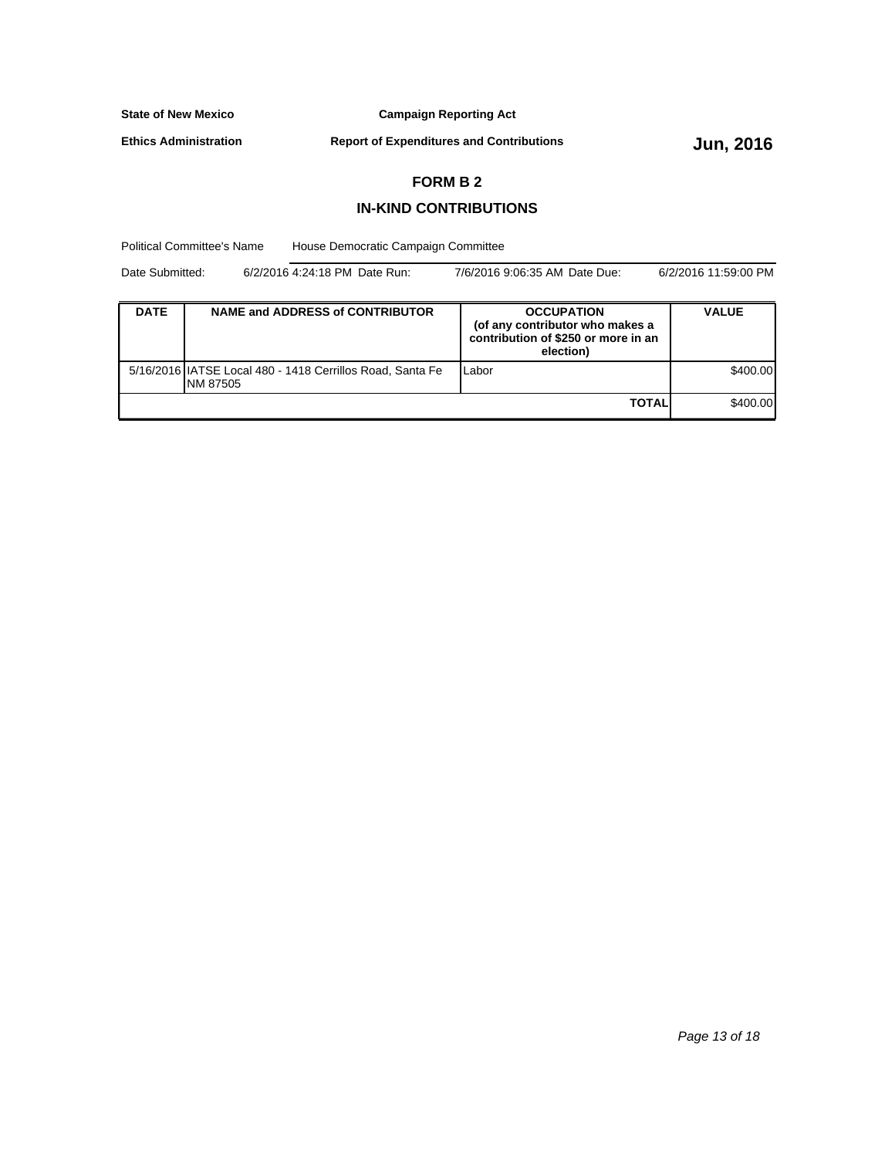**Campaign Reporting Act**

**Ethics Administration**

**Report of Expenditures and Contributions Jun, 2016** 

## **FORM B 2**

## **IN-KIND CONTRIBUTIONS**

Political Committee's Name House Democratic Campaign Committee

| Date Submitted: | 6/2/2016 4:24:18 PM Date Run: | 7/6/2016 9:06:35 AM Date Due: | 6/2/2016 11:59:00 PM |
|-----------------|-------------------------------|-------------------------------|----------------------|
|-----------------|-------------------------------|-------------------------------|----------------------|

| <b>DATE</b> | <b>NAME and ADDRESS of CONTRIBUTOR</b>                                 | <b>OCCUPATION</b><br>(of any contributor who makes a<br>contribution of \$250 or more in an<br>election) | <b>VALUE</b> |
|-------------|------------------------------------------------------------------------|----------------------------------------------------------------------------------------------------------|--------------|
|             | 5/16/2016 IATSE Local 480 - 1418 Cerrillos Road, Santa Fe<br>INM 87505 | Labor                                                                                                    | \$400.00     |
|             | \$400.00                                                               |                                                                                                          |              |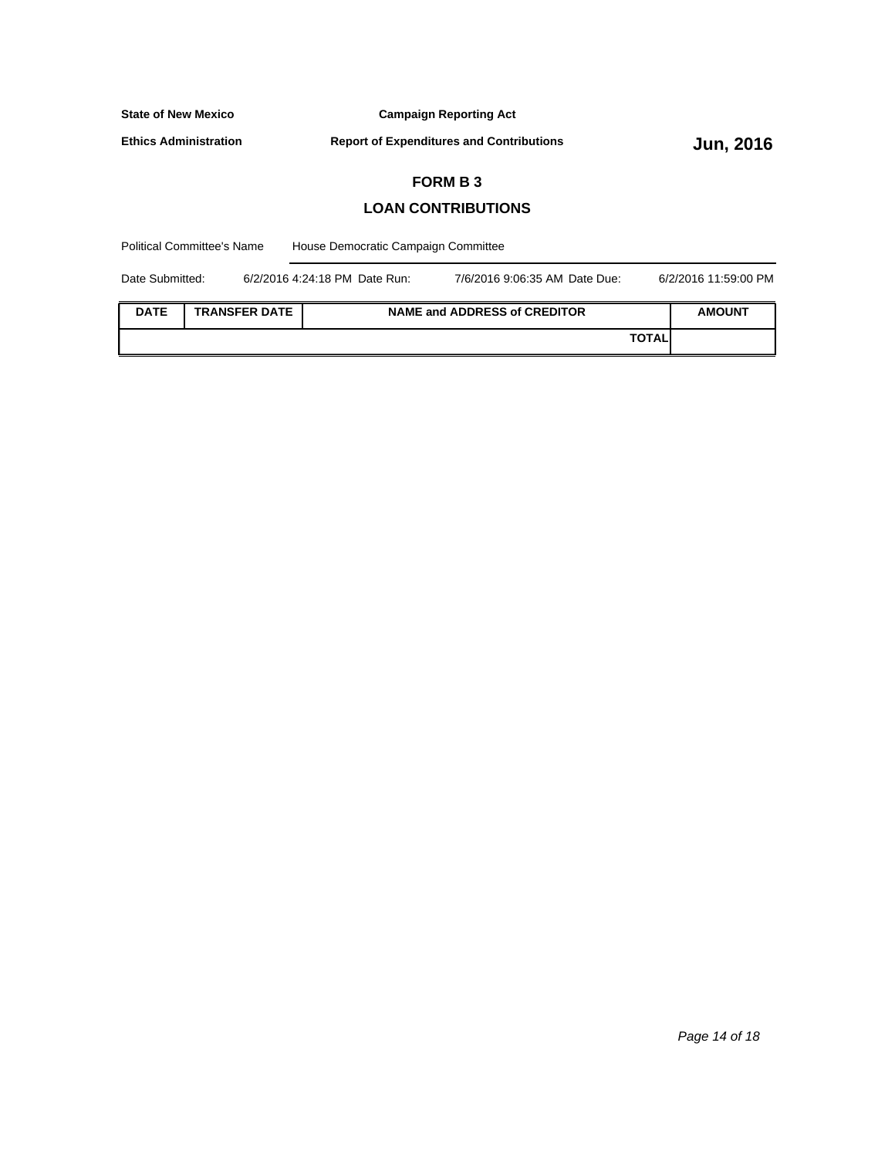**Campaign Reporting Act**

**Ethics Administration**

**Report of Expenditures and Contributions Jun, 2016** 

## **FORM B 3**

## **LOAN CONTRIBUTIONS**

House Democratic Campaign Committee Political Committee's Name **DATE TRANSFER DATE NAME and ADDRESS of CREDITOR AMOUNT TOTAL** Date Submitted: 6/2/2016 4:24:18 PM Date Run: 7/6/2016 9:06:35 AM Date Due: 6/2/2016 11:59:00 PM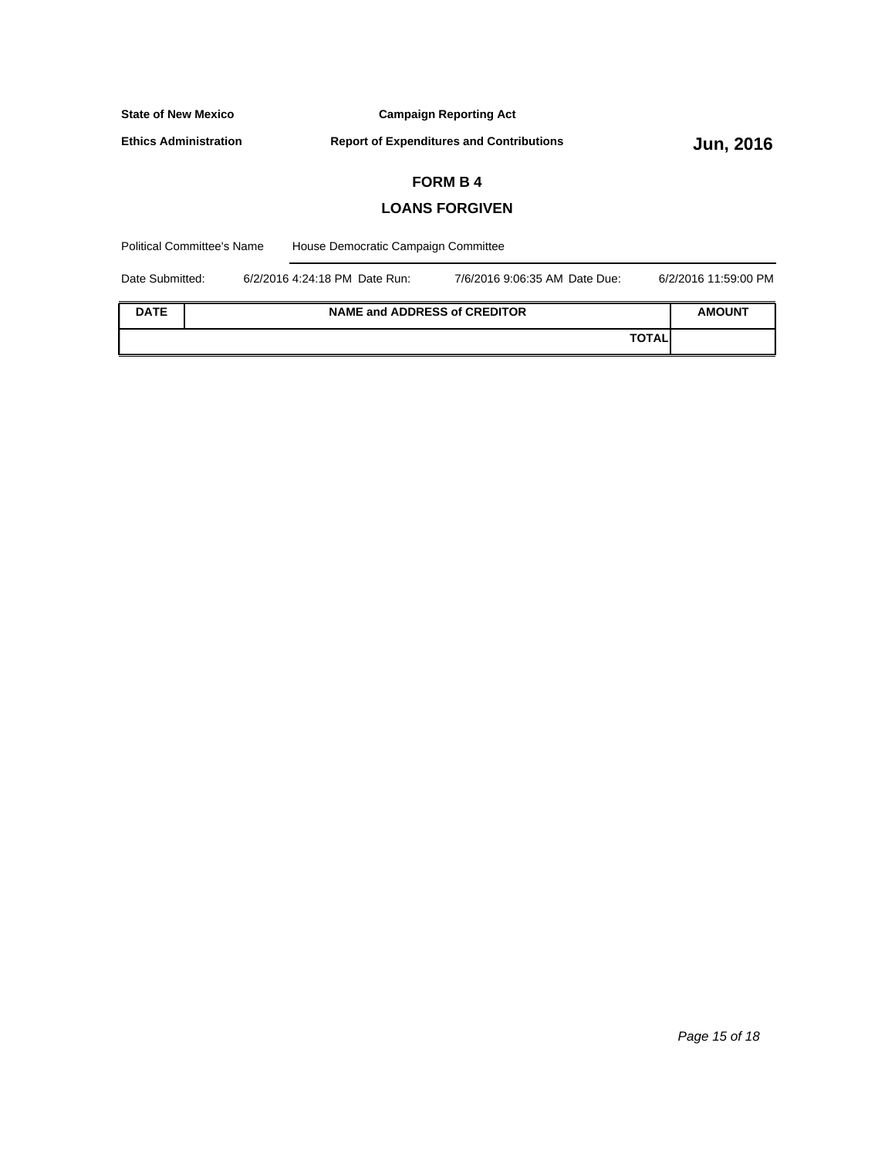| <b>State of New Mexico</b>                                                        |                       |                                                 | <b>Campaign Reporting Act</b> |                  |  |  |
|-----------------------------------------------------------------------------------|-----------------------|-------------------------------------------------|-------------------------------|------------------|--|--|
| <b>Ethics Administration</b>                                                      |                       | <b>Report of Expenditures and Contributions</b> |                               | <b>Jun, 2016</b> |  |  |
| <b>FORM B4</b>                                                                    |                       |                                                 |                               |                  |  |  |
|                                                                                   | <b>LOANS FORGIVEN</b> |                                                 |                               |                  |  |  |
| <b>Political Committee's Name</b><br>House Democratic Campaign Committee          |                       |                                                 |                               |                  |  |  |
| Date Submitted:<br>6/2/2016 4:24:18 PM Date Run:<br>7/6/2016 9:06:35 AM Date Due: |                       | 6/2/2016 11:59:00 PM                            |                               |                  |  |  |
| <b>DATE</b><br><b>NAME and ADDRESS of CREDITOR</b>                                |                       |                                                 | <b>AMOUNT</b>                 |                  |  |  |

**TOTAL**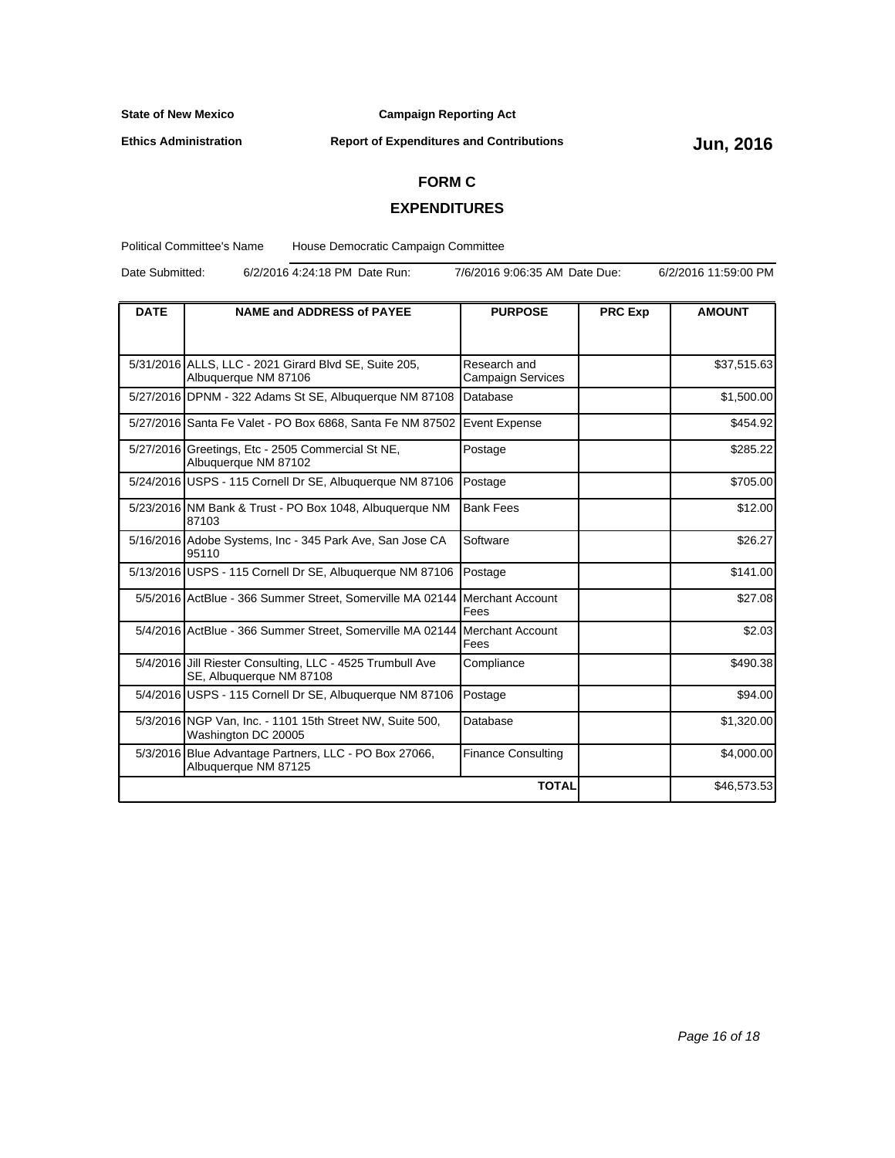**Ethics Administration**

**Campaign Reporting Act**

# **Report of Expenditures and Contributions Jun, 2016**

## **FORM C**

## **EXPENDITURES**

Political Committee's Name House Democratic Campaign Committee

Date Submitted: 6/2/2016 4:24:18 PM Date Run: 7/6/2016 9:06:35 AM Date Due: 6/2/2016 11:59:00 PM

| <b>DATE</b> | <b>NAME and ADDRESS of PAYEE</b><br><b>PURPOSE</b>                                    |                                          | <b>PRC Exp</b> | <b>AMOUNT</b> |
|-------------|---------------------------------------------------------------------------------------|------------------------------------------|----------------|---------------|
|             |                                                                                       |                                          |                |               |
|             | 5/31/2016 ALLS, LLC - 2021 Girard Blvd SE, Suite 205,<br>Albuquerque NM 87106         | Research and<br><b>Campaign Services</b> |                | \$37,515.63   |
|             | 5/27/2016 DPNM - 322 Adams St SE, Albuguergue NM 87108                                | Database                                 |                | \$1,500.00    |
|             | 5/27/2016 Santa Fe Valet - PO Box 6868, Santa Fe NM 87502                             | Event Expense                            |                | \$454.92      |
|             | 5/27/2016 Greetings, Etc - 2505 Commercial St NE,<br>Albuquerque NM 87102             | Postage                                  |                | \$285.22      |
|             | 5/24/2016 USPS - 115 Cornell Dr SE, Albuguerque NM 87106                              | Postage                                  |                | \$705.00      |
|             | 5/23/2016 NM Bank & Trust - PO Box 1048, Albuquerque NM<br>87103                      | <b>Bank Fees</b>                         |                | \$12.00       |
|             | 5/16/2016 Adobe Systems, Inc - 345 Park Ave, San Jose CA<br>95110                     | Software                                 |                | \$26.27       |
|             | 5/13/2016 USPS - 115 Cornell Dr SE, Albuquerque NM 87106                              | Postage                                  |                | \$141.00      |
|             | 5/5/2016 ActBlue - 366 Summer Street, Somerville MA 02144                             | Merchant Account<br>Fees                 |                | \$27.08       |
|             | 5/4/2016 ActBlue - 366 Summer Street, Somerville MA 02144                             | Merchant Account<br>Fees                 |                | \$2.03        |
|             | 5/4/2016 Jill Riester Consulting, LLC - 4525 Trumbull Ave<br>SE, Albuquerque NM 87108 | Compliance                               |                | \$490.38      |
|             | 5/4/2016 USPS - 115 Cornell Dr SE, Albuquerque NM 87106                               | Postage                                  |                | \$94.00       |
|             | 5/3/2016 NGP Van, Inc. - 1101 15th Street NW, Suite 500,<br>Washington DC 20005       | Database                                 |                | \$1,320.00    |
|             | 5/3/2016 Blue Advantage Partners, LLC - PO Box 27066,<br>Albuquerque NM 87125         | <b>Finance Consulting</b>                |                | \$4,000.00    |
|             |                                                                                       | <b>TOTAL</b>                             |                | \$46,573.53   |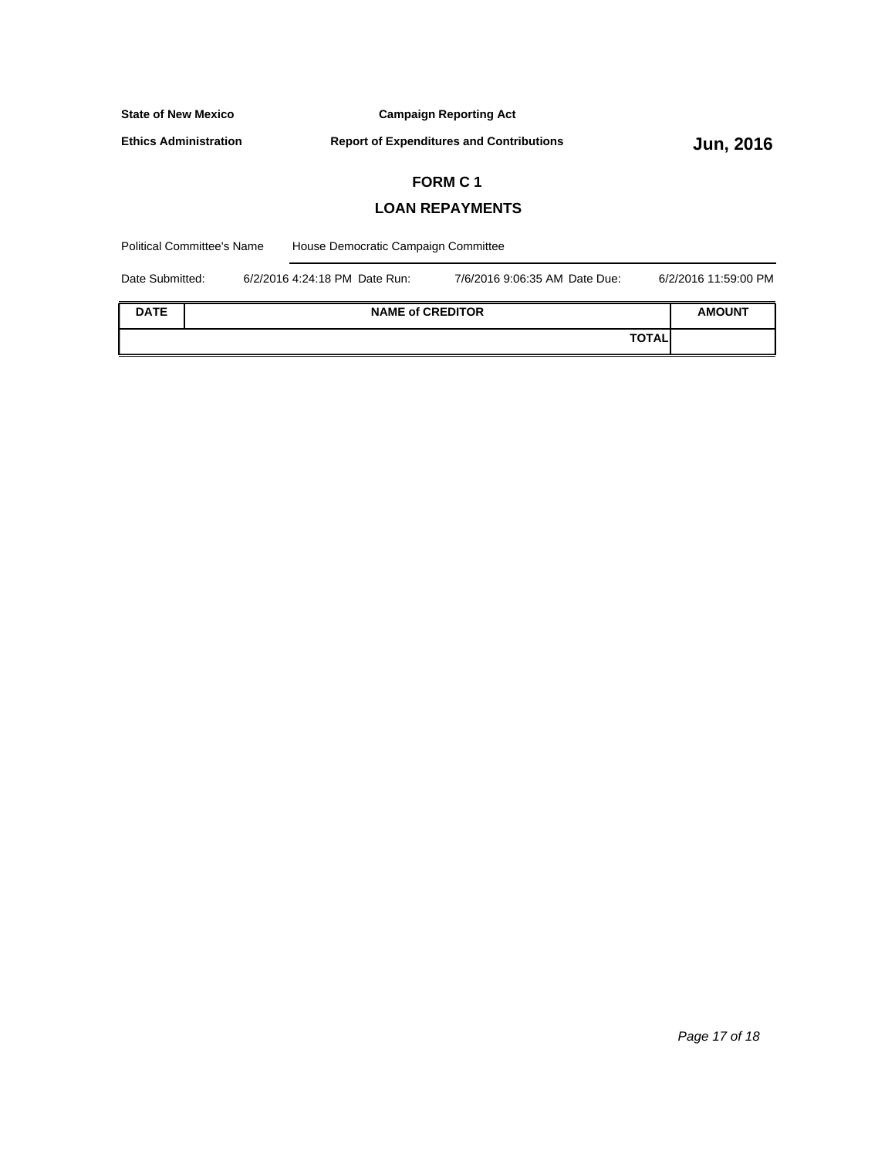| <b>State of New Mexico</b><br><b>Campaign Reporting Act</b>                       |                        |  |                         |                      |               |  |
|-----------------------------------------------------------------------------------|------------------------|--|-------------------------|----------------------|---------------|--|
| <b>Ethics Administration</b><br><b>Report of Expenditures and Contributions</b>   |                        |  | <b>Jun, 2016</b>        |                      |               |  |
|                                                                                   | <b>FORM C1</b>         |  |                         |                      |               |  |
|                                                                                   | <b>LOAN REPAYMENTS</b> |  |                         |                      |               |  |
| <b>Political Committee's Name</b><br>House Democratic Campaign Committee          |                        |  |                         |                      |               |  |
| Date Submitted:<br>6/2/2016 4:24:18 PM Date Run:<br>7/6/2016 9:06:35 AM Date Due: |                        |  |                         | 6/2/2016 11:59:00 PM |               |  |
| <b>DATE</b>                                                                       |                        |  | <b>NAME of CREDITOR</b> |                      | <b>AMOUNT</b> |  |

**TOTAL**